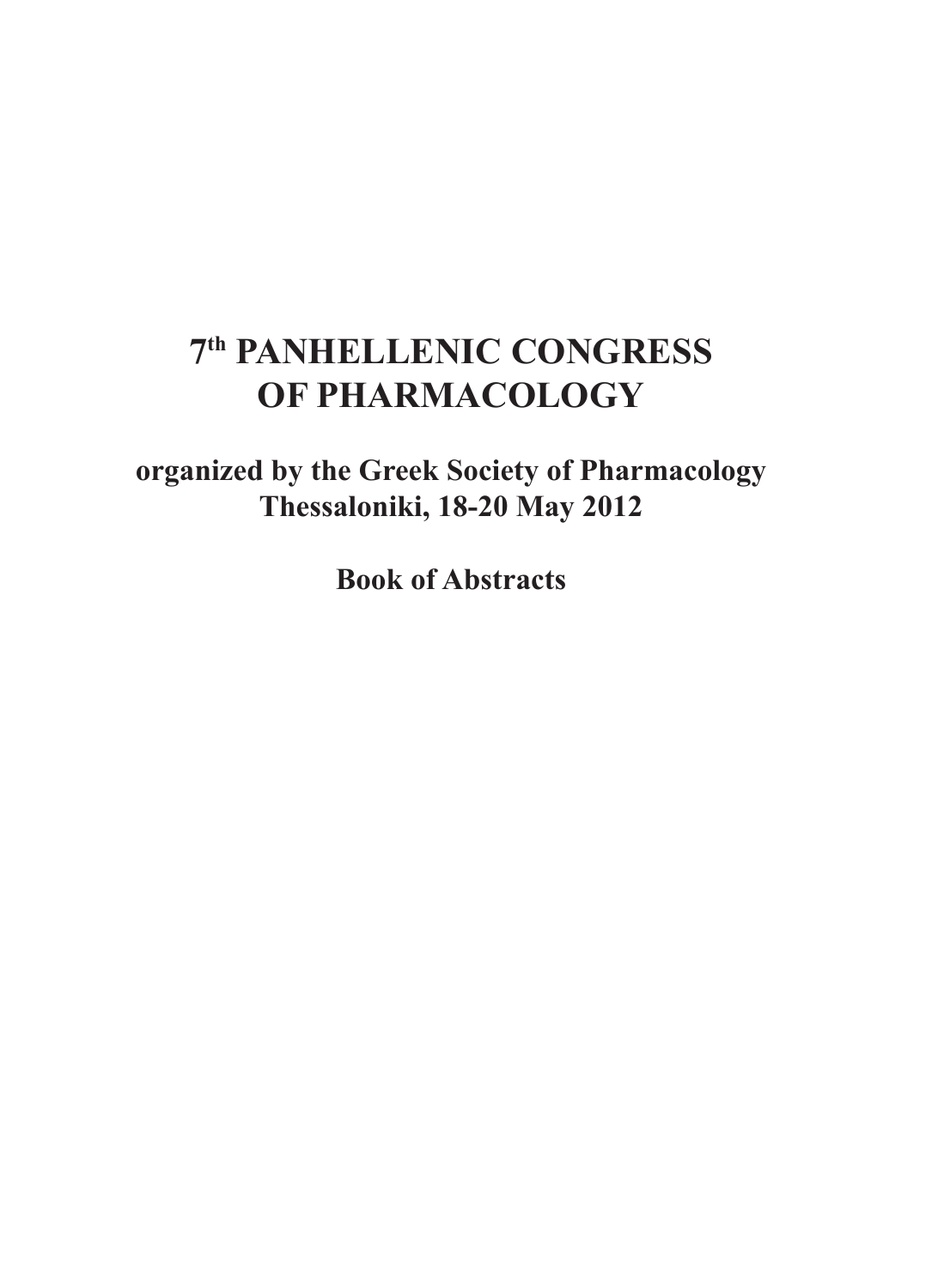# **7th PANHELLENIC CONGRESS OF PHARMACOLOGY**

**organized by the Greek Society of Pharmacology Thessaloniki, 18-20 May 2012**

**Book of Abstracts**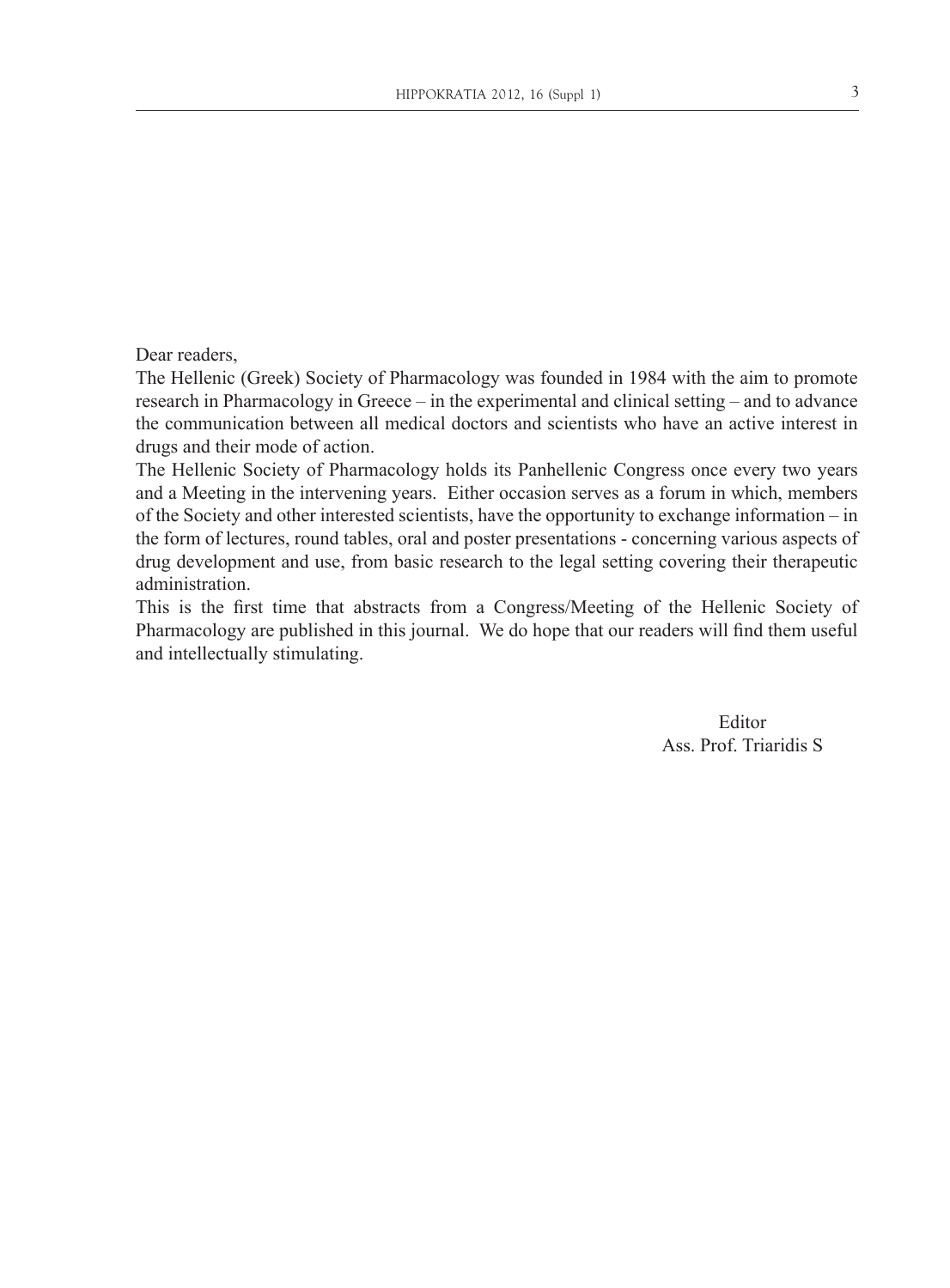Dear readers,

The Hellenic (Greek) Society of Pharmacology was founded in 1984 with the aim to promote research in Pharmacology in Greece – in the experimental and clinical setting – and to advance the communication between all medical doctors and scientists who have an active interest in drugs and their mode of action.

The Hellenic Society of Pharmacology holds its Panhellenic Congress once every two years and a Meeting in the intervening years. Either occasion serves as a forum in which, members of the Society and other interested scientists, have the opportunity to exchange information – in the form of lectures, round tables, oral and poster presentations - concerning various aspects of drug development and use, from basic research to the legal setting covering their therapeutic administration.

This is the first time that abstracts from a Congress/Meeting of the Hellenic Society of Pharmacology are published in this journal. We do hope that our readers will find them useful and intellectually stimulating.

> Editor Ass. Prof. Triaridis S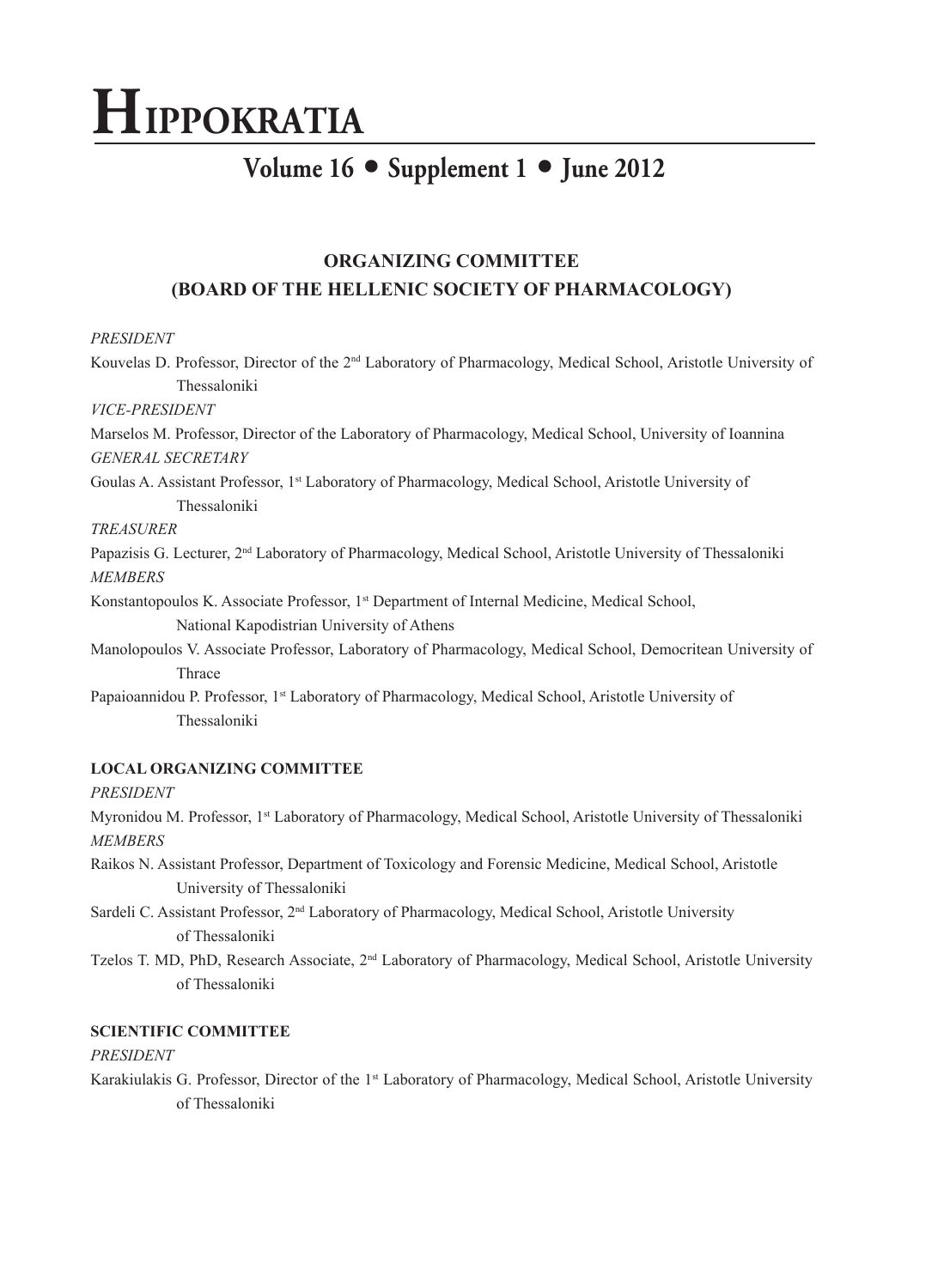# **HIPPOKRATIA**

# **Volume 16** • **Supplement 1** • **June 2012**

# **ORGANIZING COMMITTEE (BOARD OF THE HELLENIC SOCIETY OF PHARMACOLOGY)**

# *PRESIDENT*

Kouvelas D. Professor, Director of the 2nd Laboratory of Pharmacology, Medical School, Aristotle University of Thessaloniki *VICE-PRESIDENT* Marselos M. Professor, Director of the Laboratory of Pharmacology, Medical School, University of Ioannina *GENERAL SECRETARY* Goulas A. Assistant Professor, 1<sup>st</sup> Laboratory of Pharmacology, Medical School, Aristotle University of Thessaloniki *TREASURER*

Papazisis G. Lecturer, 2<sup>nd</sup> Laboratory of Pharmacology, Medical School, Aristotle University of Thessaloniki *MEMBERS*

Konstantopoulos K. Associate Professor, 1<sup>st</sup> Department of Internal Medicine, Medical School, National Kapodistrian University of Athens

Manolopoulos V. Associate Professor, Laboratory of Pharmacology, Medical School, Democritean University of Thrace

Papaioannidou P. Professor, 1<sup>st</sup> Laboratory of Pharmacology, Medical School, Aristotle University of Thessaloniki

# **LOCAL ORGANIZING COMMITTEE**

*PRESIDENT*

Myronidou M. Professor, 1<sup>st</sup> Laboratory of Pharmacology, Medical School, Aristotle University of Thessaloniki *MEMBERS*

Raikos N. Assistant Professor, Department of Toxicology and Forensic Medicine, Medical School, Aristotle University of Thessaloniki

Sardeli C. Assistant Professor, 2<sup>nd</sup> Laboratory of Pharmacology, Medical School, Aristotle University of Thessaloniki

Tzelos T. MD, PhD, Research Associate, 2<sup>nd</sup> Laboratory of Pharmacology, Medical School, Aristotle University of Thessaloniki

# **SCIENTIFIC COMMITTEE**

# *PRESIDENT*

Karakiulakis G. Professor, Director of the 1st Laboratory of Pharmacology, Medical School, Aristotle University of Thessaloniki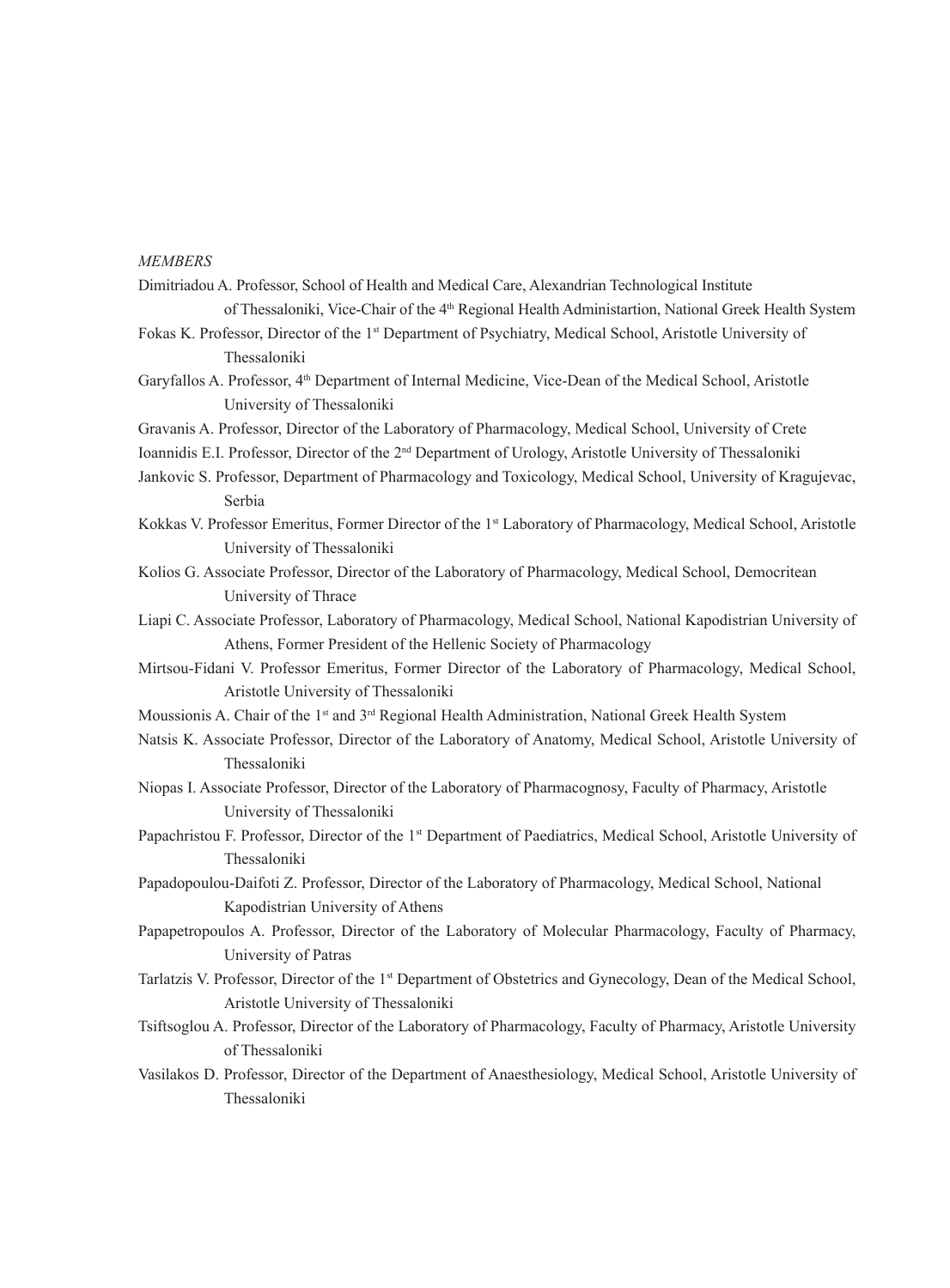#### *MEMBERS*

- Dimitriadou A. Professor, School of Health and Medical Care, Alexandrian Technological Institute of Thessaloniki, Vice-Chair of the 4<sup>th</sup> Regional Health Administartion, National Greek Health System
- Fokas K. Professor, Director of the 1<sup>st</sup> Department of Psychiatry, Medical School, Aristotle University of Thessaloniki
- Garyfallos A. Professor, 4<sup>th</sup> Department of Internal Medicine, Vice-Dean of the Medical School, Aristotle University of Thessaloniki
- Gravanis A. Professor, Director of the Laboratory of Pharmacology, Medical School, University of Crete
- Ioannidis E.I. Professor, Director of the 2nd Department of Urology, Aristotle University of Thessaloniki
- Jankovic S. Professor, Department of Pharmacology and Toxicology, Medical School, University of Kragujevac, Serbia
- Kokkas V. Professor Emeritus, Former Director of the 1<sup>st</sup> Laboratory of Pharmacology, Medical School, Aristotle University of Thessaloniki
- Kolios G. Associate Professor, Director of the Laboratory of Pharmacology, Medical School, Democritean University of Thrace
- Liapi C. Associate Professor, Laboratory of Pharmacology, Medical School, National Kapodistrian University of Athens, Former President of the Hellenic Society of Pharmacology
- Mirtsou-Fidani V. Professor Emeritus, Former Director of the Laboratory of Pharmacology, Medical School, Aristotle University of Thessaloniki
- Moussionis A. Chair of the 1<sup>st</sup> and 3<sup>rd</sup> Regional Health Administration, National Greek Health System
- Natsis K. Associate Professor, Director of the Laboratory of Anatomy, Medical School, Aristotle University of Thessaloniki
- Niopas I. Associate Professor, Director of the Laboratory of Pharmacognosy, Faculty of Pharmacy, Aristotle University of Thessaloniki
- Papachristou F. Professor, Director of the 1<sup>st</sup> Department of Paediatrics, Medical School, Aristotle University of Thessaloniki
- Papadopoulou-Daifoti Z. Professor, Director of the Laboratory of Pharmacology, Medical School, National Kapodistrian University of Athens
- Papapetropoulos A. Professor, Director of the Laboratory of Molecular Pharmacology, Faculty of Pharmacy, University of Patras
- Tarlatzis V. Professor, Director of the 1st Department of Obstetrics and Gynecology, Dean of the Medical School, Aristotle University of Thessaloniki
- Tsiftsoglou A. Professor, Director of the Laboratory of Pharmacology, Faculty of Pharmacy, Aristotle University of Thessaloniki
- Vasilakos D. Professor, Director of the Department of Anaesthesiology, Medical School, Aristotle University of Thessaloniki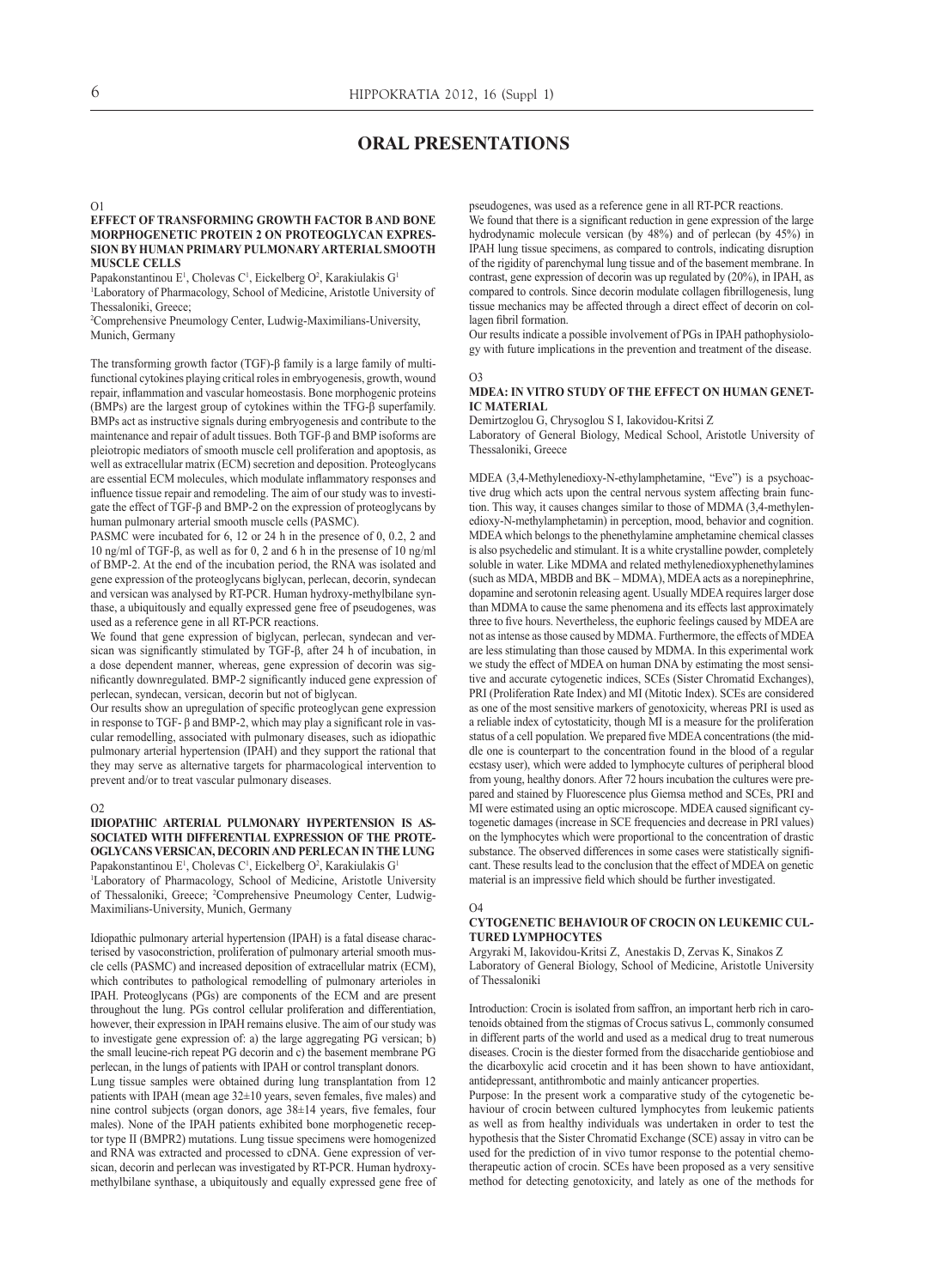# **ORAL PRESENTATIONS**

#### $O<sub>1</sub>$

#### **Effect of transforming growth factor β and bone morphogenetic protein 2 on proteoglycan expression by human primary pulmonaryarterialsmooth muscle cells**

Papakonstantinou E<sup>1</sup>, Cholevas C<sup>1</sup>, Eickelberg O<sup>2</sup>, Karakiulakis G<sup>1</sup>

1 Laboratory of Pharmacology, School of Medicine, Aristotle University of Thessaloniki, Greece;

2 Comprehensive Pneumology Center, Ludwig-Maximilians-University, Munich, Germany

The transforming growth factor (TGF)-β family is a large family of multifunctional cytokines playing critical roles in embryogenesis, growth, wound repair, inflammation and vascular homeostasis. Bone morphogenic proteins (BMPs) are the largest group of cytokines within the TFG-β superfamily. BMPs act as instructive signals during embryogenesis and contribute to the maintenance and repair of adult tissues. Both TGF-β and BMP isoforms are pleiotropic mediators of smooth muscle cell proliferation and apoptosis, as well as extracellular matrix (ECM) secretion and deposition. Proteoglycans are essential ECM molecules, which modulate inflammatory responses and influence tissue repair and remodeling. The aim of our study was to investigate the effect of TGF-β and BMP-2 on the expression of proteoglycans by human pulmonary arterial smooth muscle cells (PASMC).

PASMC were incubated for 6, 12 or 24 h in the presence of 0, 0.2, 2 and 10 ng/ml of TGF-β, as well as for 0, 2 and 6 h in the presense of 10 ng/ml of BMP-2. At the end of the incubation period, the RNA was isolated and gene expression of the proteoglycans biglycan, perlecan, decorin, syndecan and versican was analysed by RT-PCR. Human hydroxy-methylbilane synthase, a ubiquitously and equally expressed gene free of pseudogenes, was used as a reference gene in all RT-PCR reactions.

We found that gene expression of biglycan, perlecan, syndecan and versican was significantly stimulated by TGF-β, after 24 h of incubation, in a dose dependent manner, whereas, gene expression of decorin was significantly downregulated. BMP-2 significantly induced gene expression of perlecan, syndecan, versican, decorin but not of biglycan.

Our results show an upregulation of specific proteoglycan gene expression in response to TGF- $\beta$  and BMP-2, which may play a significant role in vascular remodelling, associated with pulmonary diseases, such as idiopathic pulmonary arterial hypertension (IPAH) and they support the rational that they may serve as alternative targets for pharmacological intervention to prevent and/or to treat vascular pulmonary diseases.

#### $\Omega$

#### **Idiopathic arterial pulmonary hypertension is associated with differential expression of the proteoglycans versican, decorinand perlecan in the lung** Papakonstantinou E<sup>1</sup>, Cholevas C<sup>1</sup>, Eickelberg O<sup>2</sup>, Karakiulakis G<sup>1</sup>

1 Laboratory of Pharmacology, School of Medicine, Aristotle University of Thessaloniki, Greece; <sup>2</sup>Comprehensive Pneumology Center, Ludwig-Maximilians-University, Munich, Germany

Idiopathic pulmonary arterial hypertension (IPAH) is a fatal disease characterised by vasoconstriction, proliferation of pulmonary arterial smooth muscle cells (PASMC) and increased deposition of extracellular matrix (ECM), which contributes to pathological remodelling of pulmonary arterioles in IPAH. Proteoglycans (PGs) are components of the ECM and are present throughout the lung. PGs control cellular proliferation and differentiation, however, their expression in IPAH remains elusive. The aim of our study was to investigate gene expression of: a) the large aggregating PG versican; b) the small leucine-rich repeat PG decorin and c) the basement membrane PG perlecan, in the lungs of patients with IPAH or control transplant donors.

Lung tissue samples were obtained during lung transplantation from 12 patients with IPAH (mean age 32±10 years, seven females, five males) and nine control subjects (organ donors, age 38±14 years, five females, four males). None of the IPAH patients exhibited bone morphogenetic receptor type II (BMPR2) mutations. Lung tissue specimens were homogenized and RNA was extracted and processed to cDNA. Gene expression of versican, decorin and perlecan was investigated by RT-PCR. Human hydroxymethylbilane synthase, a ubiquitously and equally expressed gene free of pseudogenes, was used as a reference gene in all RT-PCR reactions.

We found that there is a significant reduction in gene expression of the large hydrodynamic molecule versican (by 48%) and of perlecan (by 45%) in IPAH lung tissue specimens, as compared to controls, indicating disruption of the rigidity of parenchymal lung tissue and of the basement membrane. In contrast, gene expression of decorin was up regulated by (20%), in IPAH, as compared to controls. Since decorin modulate collagen fibrillogenesis, lung tissue mechanics may be affected through a direct effect of decorin on collagen fibril formation.

Our results indicate a possible involvement of PGs in IPAH pathophysiology with future implications in the prevention and treatment of the disease.

#### O3

#### **MDEA: in vitro study of the effect on human genetic material**

Demirtzoglou G, Chrysoglou S I, Iakovidou-Kritsi Z

Laboratory of General Biology, Medical School, Aristotle University of Thessaloniki, Greece

MDEA (3,4-Methylenedioxy-N-ethylamphetamine, "Eve") is a psychoactive drug which acts upon the central nervous system affecting brain function. This way, it causes changes similar to those of MDMA (3,4-methylenedioxy-N-methylamphetamin) in perception, mood, behavior and cognition. MDEA which belongs to the phenethylamine amphetamine chemical classes is also psychedelic and stimulant. It is a white crystalline powder, completely soluble in water. Like MDMA and related methylenedioxyphenethylamines (such as MDA, MBDB and BK – MDMA), MDEA acts as a norepinephrine, dopamine and serotonin releasing agent. Usually MDEA requires larger dose than MDMA to cause the same phenomena and its effects last approximately three to five hours. Nevertheless, the euphoric feelings caused by MDEA are not as intense as those caused by MDMA. Furthermore, the effects of MDEA are less stimulating than those caused by MDMA. In this experimental work we study the effect of MDEA on human DNA by estimating the most sensitive and accurate cytogenetic indices, SCEs (Sister Chromatid Exchanges), PRI (Proliferation Rate Index) and MI (Mitotic Index). SCEs are considered as one of the most sensitive markers of genotoxicity, whereas PRI is used as a reliable index of cytostaticity, though MI is a measure for the proliferation status of a cell population. We prepared five MDEA concentrations (the middle one is counterpart to the concentration found in the blood of a regular ecstasy user), which were added to lymphocyte cultures of peripheral blood from young, healthy donors. After 72 hours incubation the cultures were prepared and stained by Fluorescence plus Giemsa method and SCEs, PRI and MI were estimated using an optic microscope. MDEA caused significant cytogenetic damages (increase in SCE frequencies and decrease in PRI values) on the lymphocytes which were proportional to the concentration of drastic substance. The observed differences in some cases were statistically significant. These results lead to the conclusion that the effect of MDEA on genetic material is an impressive field which should be further investigated.

#### $O<sub>4</sub>$

#### **Cytogenetic behaviour of crocin on leukemic cultured lymphocytes**

Argyraki M, Iakovidou-Kritsi Z, Anestakis D, Zervas K, Sinakos Z Laboratory of General Biology, School of Medicine, Aristotle University of Thessaloniki

Introduction: Crocin is isolated from saffron, an important herb rich in carotenoids obtained from the stigmas of Crocus sativus L, commonly consumed in different parts of the world and used as a medical drug to treat numerous diseases. Crocin is the diester formed from the disaccharide gentiobiose and the dicarboxylic acid crocetin and it has been shown to have antioxidant, antidepressant, antithrombotic and mainly anticancer properties.

Purpose: In the present work a comparative study of the cytogenetic behaviour of crocin between cultured lymphocytes from leukemic patients as well as from healthy individuals was undertaken in order to test the hypothesis that the Sister Chromatid Exchange (SCE) assay in vitro can be used for the prediction of in vivo tumor response to the potential chemotherapeutic action of crocin. SCEs have been proposed as a very sensitive method for detecting genotoxicity, and lately as one of the methods for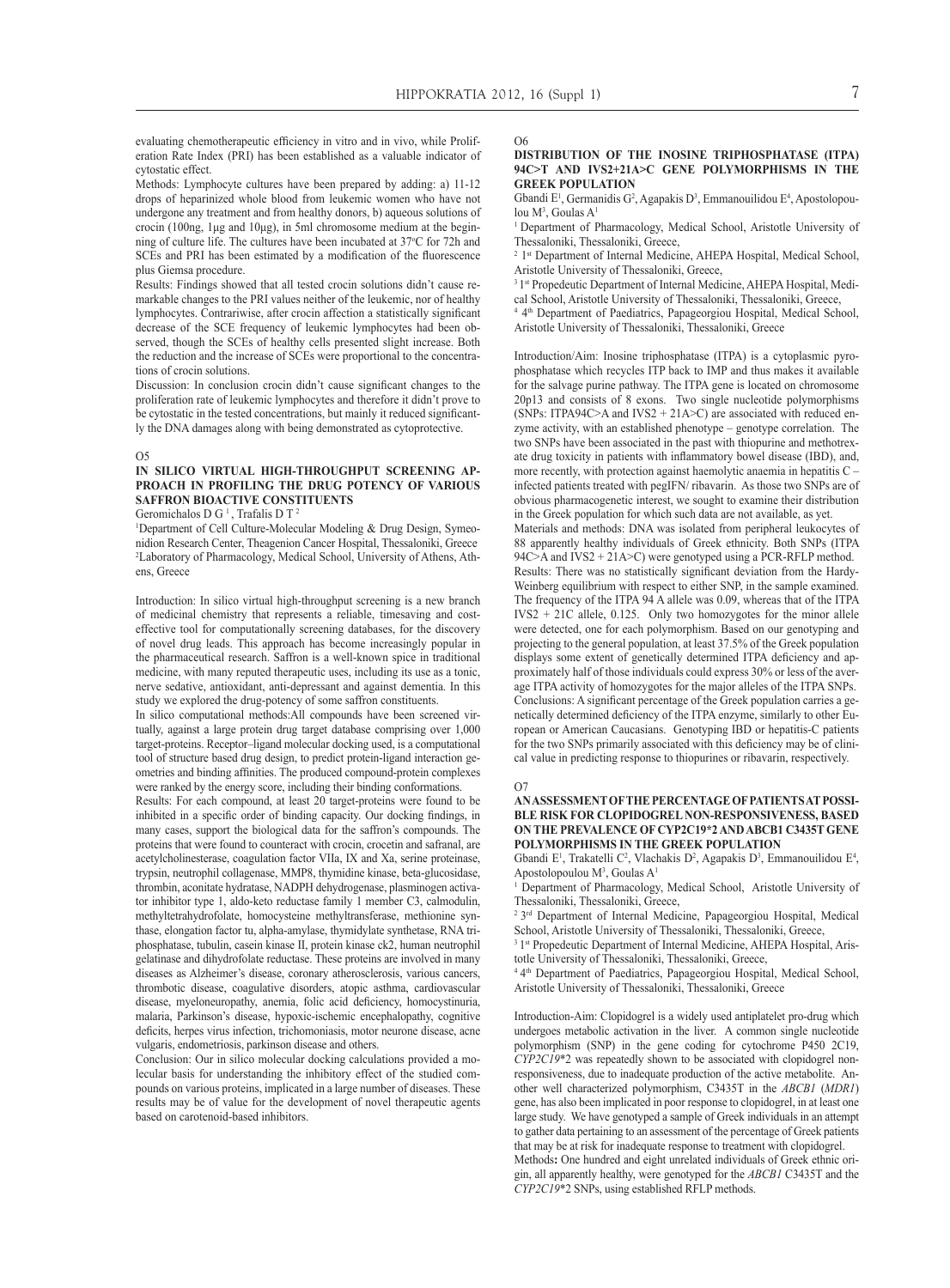evaluating chemotherapeutic efficiency in vitro and in vivo, while Proliferation Rate Index (PRI) has been established as a valuable indicator of cytostatic effect.

Methods: Lymphocyte cultures have been prepared by adding: a) 11-12 drops of heparinized whole blood from leukemic women who have not undergone any treatment and from healthy donors, b) aqueous solutions of crocin (100ng, 1μg and 10μg), in 5ml chromosome medium at the beginning of culture life. The cultures have been incubated at 37°C for 72h and SCEs and PRI has been estimated by a modification of the fluorescence plus Giemsa procedure.

Results: Findings showed that all tested crocin solutions didn't cause remarkable changes to the PRI values neither of the leukemic, nor of healthy lymphocytes. Contrariwise, after crocin affection a statistically significant decrease of the SCE frequency of leukemic lymphocytes had been observed, though the SCEs of healthy cells presented slight increase. Both the reduction and the increase of SCEs were proportional to the concentrations of crocin solutions.

Discussion: In conclusion crocin didn't cause significant changes to the proliferation rate of leukemic lymphocytes and therefore it didn't prove to be cytostatic in the tested concentrations, but mainly it reduced significantly the DNA damages along with being demonstrated as cytoprotective.

#### $O<sub>5</sub>$

#### **In silico virtual high-throughput screening approach in profiling the drug potency of various saffron bioactive constituents**

Geromichalos D G<sup>1</sup>, Trafalis D T<sup>2</sup>

<sup>1</sup>Department of Cell Culture-Molecular Modeling & Drug Design, Symeonidion Research Center, Theagenion Cancer Hospital, Thessaloniki, Greece 2 Laboratory of Pharmacology, Medical School, University of Athens, Athens, Greece

Introduction: In silico virtual high-throughput screening is a new branch of medicinal chemistry that represents a reliable, timesaving and costeffective tool for computationally screening databases, for the discovery of novel drug leads. This approach has become increasingly popular in the pharmaceutical research. Saffron is a well-known spice in traditional medicine, with many reputed therapeutic uses, including its use as a tonic, nerve sedative, antioxidant, anti-depressant and against dementia. In this study we explored the drug-potency of some saffron constituents.

In silico computational methods:All compounds have been screened virtually, against a large protein drug target database comprising over 1,000 target-proteins. Receptor–ligand molecular docking used, is a computational tool of structure based drug design, to predict protein-ligand interaction geometries and binding affinities. The produced compound-protein complexes were ranked by the energy score, including their binding conformations.

Results: For each compound, at least 20 target-proteins were found to be inhibited in a specific order of binding capacity. Our docking findings, in many cases, support the biological data for the saffron's compounds. The proteins that were found to counteract with crocin, crocetin and safranal, are acetylcholinesterase, coagulation factor VIIa, IX and Xa, serine proteinase, trypsin, neutrophil collagenase, MMP8, thymidine kinase, beta-glucosidase, thrombin, aconitate hydratase, NADPH dehydrogenase, plasminogen activator inhibitor type 1, aldo-keto reductase family 1 member C3, calmodulin, methyltetrahydrofolate, homocysteine methyltransferase, methionine synthase, elongation factor tu, alpha-amylase, thymidylate synthetase, RNA triphosphatase, tubulin, casein kinase II, protein kinase ck2, human neutrophil gelatinase and dihydrofolate reductase. These proteins are involved in many diseases as Alzheimer's disease, coronary atherosclerosis, various cancers, thrombotic disease, coagulative disorders, atopic asthma, cardiovascular disease, myeloneuropathy, anemia, folic acid deficiency, homocystinuria, malaria, Parkinson's disease, hypoxic-ischemic encephalopathy, cognitive deficits, herpes virus infection, trichomoniasis, motor neurone disease, acne vulgaris, endometriosis, parkinson disease and others.

Conclusion: Our in silico molecular docking calculations provided a molecular basis for understanding the inhibitory effect of the studied compounds on various proteins, implicated in a large number of diseases. These results may be of value for the development of novel therapeutic agents based on carotenoid-based inhibitors.

O6

#### **Distribution of the inosine triphosphatase (ITPA) 94C>T and IVS2+21A>C gene polymorphisms in the Greek population**

Gbandi  $E^1$ , Germanidis G<sup>2</sup>, Agapakis D<sup>3</sup>, Emmanouilidou  $E^4$ , Apostolopoulou M<sup>3</sup>, Goulas A<sup>1</sup>

<sup>1</sup> Department of Pharmacology, Medical School, Aristotle University of Thessaloniki, Thessaloniki, Greece,

<sup>2</sup> 1<sup>st</sup> Department of Internal Medicine, AHEPA Hospital, Medical School, Aristotle University of Thessaloniki, Greece,

<sup>3</sup><sup>1st</sup> Propedeutic Department of Internal Medicine, AHEPA Hospital, Medical School, Aristotle University of Thessaloniki, Thessaloniki, Greece,

<sup>4 4th</sup> Department of Paediatrics, Papageorgiou Hospital, Medical School, Aristotle University of Thessaloniki, Thessaloniki, Greece

Introduction/Aim: Inosine triphosphatase (ITPA) is a cytoplasmic pyrophosphatase which recycles ITP back to IMP and thus makes it available for the salvage purine pathway. The ITPA gene is located on chromosome 20p13 and consists of 8 exons. Two single nucleotide polymorphisms (SNPs: ITPA94C>A and IVS2 + 21A>C) are associated with reduced enzyme activity, with an established phenotype – genotype correlation. The two SNPs have been associated in the past with thiopurine and methotrexate drug toxicity in patients with inflammatory bowel disease (IBD), and, more recently, with protection against haemolytic anaemia in hepatitis C – infected patients treated with pegIFN/ ribavarin. As those two SNPs are of obvious pharmacogenetic interest, we sought to examine their distribution in the Greek population for which such data are not available, as yet. Materials and methods: DNA was isolated from peripheral leukocytes of 88 apparently healthy individuals of Greek ethnicity. Both SNPs (ITPA 94C>A and IVS2 + 21A>C) were genotyped using a PCR-RFLP method. Results: There was no statistically significant deviation from the Hardy-Weinberg equilibrium with respect to either SNP, in the sample examined. The frequency of the ITPA 94 A allele was 0.09, whereas that of the ITPA  $IVS2 + 21C$  allele, 0.125. Only two homozygotes for the minor allele were detected, one for each polymorphism. Based on our genotyping and projecting to the general population, at least 37.5% of the Greek population displays some extent of genetically determined ITPA deficiency and approximately half of those individuals could express 30% or less of the average ITPA activity of homozygotes for the major alleles of the ITPA SNPs. Conclusions: A significant percentage of the Greek population carries a genetically determined deficiency of the ITPA enzyme, similarly to other European or American Caucasians. Genotyping IBD or hepatitis-C patients for the two SNPs primarily associated with this deficiency may be of clini-

#### O7

#### ANASSESSMENT OF THE PERCENTAGE OF PATIENTS AT POSSI**ble risk for clopidogrel non-responsiveness, based on the prevalence of CYP2C19\*2 and ABCB1 C3435T gene polymorphisms in the Greek population**

cal value in predicting response to thiopurines or ribavarin, respectively.

Gbandi E<sup>1</sup>, Trakatelli C<sup>2</sup>, Vlachakis D<sup>2</sup>, Agapakis D<sup>3</sup>, Emmanouilidou E<sup>4</sup>, Apostolopoulou M3 , Goulas A1

<sup>1</sup> Department of Pharmacology, Medical School, Aristotle University of Thessaloniki, Thessaloniki, Greece,

2 3rd Department of Internal Medicine, Papageorgiou Hospital, Medical School, Aristotle University of Thessaloniki, Thessaloniki, Greece,

<sup>3</sup> 1<sup>st</sup> Propedeutic Department of Internal Medicine, AHEPA Hospital, Aristotle University of Thessaloniki, Thessaloniki, Greece,

4 4th Department of Paediatrics, Papageorgiou Hospital, Medical School, Aristotle University of Thessaloniki, Thessaloniki, Greece

Introduction-Aim: Clopidogrel is a widely used antiplatelet pro-drug which undergoes metabolic activation in the liver. A common single nucleotide polymorphism (SNP) in the gene coding for cytochrome P450 2C19, *CYP2C19*\*2 was repeatedly shown to be associated with clopidogrel nonresponsiveness, due to inadequate production of the active metabolite. Another well characterized polymorphism, C3435T in the *ABCB1* (*MDR1*) gene, has also been implicated in poor response to clopidogrel, in at least one large study. We have genotyped a sample of Greek individuals in an attempt to gather data pertaining to an assessment of the percentage of Greek patients that may be at risk for inadequate response to treatment with clopidogrel.

Methods**:** One hundred and eight unrelated individuals of Greek ethnic origin, all apparently healthy, were genotyped for the *ABCB1* C3435T and the *CYP2C19*\*2 SNPs, using established RFLP methods.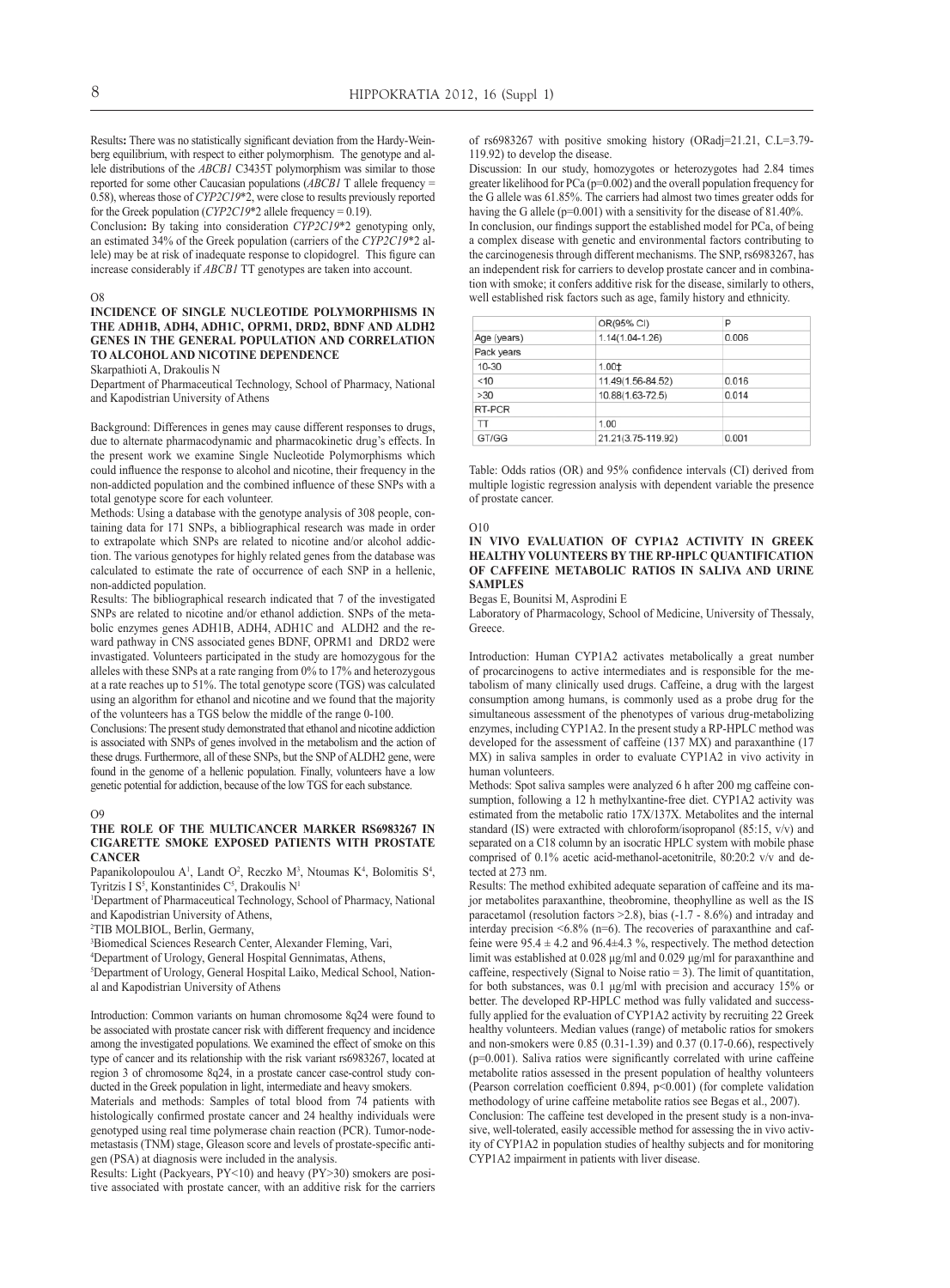Results**:** There was no statistically significant deviation from the Hardy-Weinberg equilibrium, with respect to either polymorphism. The genotype and allele distributions of the *ABCB1* C3435T polymorphism was similar to those reported for some other Caucasian populations (*ABCB1* T allele frequency = 0.58), whereas those of *CYP2C19*\*2, were close to results previously reported for the Greek population (*CYP2C19*\*2 allele frequency = 0.19).

Conclusion**:** By taking into consideration *CYP2C19*\*2 genotyping only, an estimated 34% of the Greek population (carriers of the *CYP2C19*\*2 allele) may be at risk of inadequate response to clopidogrel. This figure can increase considerably if *ABCB1* TT genotypes are taken into account.

#### O8

#### **Incidence of single nucleotide polymorphisms in the ADH1B, ADH4, ADH1C, OPRM1, DRD2, BDNF and ALDH2 genes in the general population and correlation to alcoholand nicotine dependence**

Skarpathioti A, Drakoulis N

Department of Pharmaceutical Technology, School of Pharmacy, National and Kapodistrian University of Athens

Background: Differences in genes may cause different responses to drugs, due to alternate pharmacodynamic and pharmacokinetic drug's effects. In the present work we examine Single Nucleotide Polymorphisms which could influence the response to alcohol and nicotine, their frequency in the non-addicted population and the combined influence of these SNPs with a total genotype score for each volunteer.

Methods: Using a database with the genotype analysis of 308 people, containing data for 171 SNPs, a bibliographical research was made in order to extrapolate which SNPs are related to nicotine and/or alcohol addiction. The various genotypes for highly related genes from the database was calculated to estimate the rate of occurrence of each SNP in a hellenic, non-addicted population.

Results: The bibliographical research indicated that 7 of the investigated SNPs are related to nicotine and/or ethanol addiction. SNPs of the metabolic enzymes genes ADH1B, ADH4, ADH1C and ALDH2 and the reward pathway in CNS associated genes BDNF, OPRM1 and DRD2 were invastigated. Volunteers participated in the study are homozygous for the alleles with these SNPs at a rate ranging from 0% to 17% and heterozygous at a rate reaches up to 51%. The total genotype score (TGS) was calculated using an algorithm for ethanol and nicotine and we found that the majority of the volunteers has a TGS below the middle of the range 0-100.

Conclusions: The present study demonstrated that ethanol and nicotine addiction is associated with SNPs of genes involved in the metabolism and the action of these drugs. Furthermore, all of these SNPs, but the SNP of ALDH2 gene, were found in the genome of a hellenic population. Finally, volunteers have a low genetic potential for addiction, because of the low TGS for each substance.

#### $\Omega$

#### **The role of the multicancer marker rs6983267 in cigarette smoke exposed patients with prostate cancer**

Papanikolopoulou  $A^1$ , Landt O<sup>2</sup>, Reczko M<sup>3</sup>, Ntoumas K<sup>4</sup>, Bolomitis S<sup>4</sup>, Tyritzis I S<sup>5</sup>, Konstantinides C<sup>5</sup>, Drakoulis N<sup>1</sup>

1 Department of Pharmaceutical Technology, School of Pharmacy, National and Kapodistrian University of Athens,

2 TIB MOLBIOL, Berlin, Germany,

3 Biomedical Sciences Research Center, Alexander Fleming, Vari,

4 Department of Urology, General Hospital Gennimatas, Athens,

5 Department of Urology, General Hospital Laiko, Medical School, National and Kapodistrian University of Athens

Introduction: Common variants on human chromosome 8q24 were found to be associated with prostate cancer risk with different frequency and incidence among the investigated populations. We examined the effect of smoke on this type of cancer and its relationship with the risk variant rs6983267, located at region 3 of chromosome 8q24, in a prostate cancer case-control study conducted in the Greek population in light, intermediate and heavy smokers.

Materials and methods: Samples of total blood from 74 patients with histologically confirmed prostate cancer and 24 healthy individuals were genotyped using real time polymerase chain reaction (PCR). Tumor-nodemetastasis (TNM) stage, Gleason score and levels of prostate-specific antigen (PSA) at diagnosis were included in the analysis.

Results: Light (Packyears, PY<10) and heavy (PY>30) smokers are positive associated with prostate cancer, with an additive risk for the carriers of rs6983267 with positive smoking history (ORadj=21.21, C.L=3.79- 119.92) to develop the disease.

Discussion: In our study, homozygotes or heterozygotes had 2.84 times greater likelihood for PCa (p=0.002) and the overall population frequency for the G allele was 61.85%. The carriers had almost two times greater odds for having the G allele (p=0.001) with a sensitivity for the disease of 81.40%. In conclusion, our findings support the established model for PCa, of being a complex disease with genetic and environmental factors contributing to the carcinogenesis through different mechanisms. The SNP, rs6983267, has an independent risk for carriers to develop prostate cancer and in combination with smoke; it confers additive risk for the disease, similarly to others, well established risk factors such as age, family history and ethnicity.

|             | OR(95% CI)          | Ρ     |
|-------------|---------------------|-------|
| Age (years) | $1.14(1.04 - 1.26)$ | 0.006 |
| Pack years  |                     |       |
| 10-30       | 1.001               |       |
| < 10        | 11.49(1.56-84.52)   | 0.016 |
| >30         | 10.88(1.63-72.5)    | 0.014 |
| RT-PCR      |                     |       |
| TT          | 1.00                |       |
| GT/GG       | 21.21(3.75-119.92)  | 0.001 |

Table: Odds ratios (OR) and 95% confidence intervals (CI) derived from multiple logistic regression analysis with dependent variable the presence of prostate cancer.

#### O10

#### **In vivo evaluation of CYP1A2 activity in Greek healthy volunteers by the RP-HPLC quantification of caffeine metabolic ratios in saliva and urine samples**

Begas E, Bounitsi M, Asprodini E

Laboratory of Pharmacology, School of Medicine, University of Thessaly, **Greece** 

Introduction: Human CYP1A2 activates metabolically a great number of procarcinogens to active intermediates and is responsible for the metabolism of many clinically used drugs. Caffeine, a drug with the largest consumption among humans, is commonly used as a probe drug for the simultaneous assessment of the phenotypes of various drug-metabolizing enzymes, including CYP1A2. In the present study a RP-HPLC method was developed for the assessment of caffeine (137 MX) and paraxanthine (17 MX) in saliva samples in order to evaluate CYP1A2 in vivo activity in human volunteers.

Methods: Spot saliva samples were analyzed 6 h after 200 mg caffeine consumption, following a 12 h methylxantine-free diet. CYP1A2 activity was estimated from the metabolic ratio 17X/137X. Metabolites and the internal standard (IS) were extracted with chloroform/isopropanol (85:15, v/v) and separated on a C18 column by an isocratic HPLC system with mobile phase comprised of 0.1% acetic acid-methanol-acetonitrile, 80:20:2 v/v and detected at 273 nm.

Results: The method exhibited adequate separation of caffeine and its major metabolites paraxanthine, theobromine, theophylline as well as the IS paracetamol (resolution factors  $\geq$  2.8), bias (-1.7 - 8.6%) and intraday and interday precision  $<6.8\%$  (n=6). The recoveries of paraxanthine and caffeine were  $95.4 \pm 4.2$  and  $96.4 \pm 4.3$  %, respectively. The method detection limit was established at 0.028 μg/ml and 0.029 μg/ml for paraxanthine and caffeine, respectively (Signal to Noise ratio = 3). The limit of quantitation, for both substances, was 0.1 μg/ml with precision and accuracy 15% or better. The developed RP-HPLC method was fully validated and successfully applied for the evaluation of CYP1A2 activity by recruiting 22 Greek healthy volunteers. Median values (range) of metabolic ratios for smokers and non-smokers were 0.85 (0.31-1.39) and 0.37 (0.17-0.66), respectively (p=0.001). Saliva ratios were significantly correlated with urine caffeine metabolite ratios assessed in the present population of healthy volunteers (Pearson correlation coefficient  $0.894$ , p<0.001) (for complete validation methodology of urine caffeine metabolite ratios see Begas et al., 2007). Conclusion: The caffeine test developed in the present study is a non-invasive, well-tolerated, easily accessible method for assessing the in vivo activity of CYP1A2 in population studies of healthy subjects and for monitoring CYP1A2 impairment in patients with liver disease.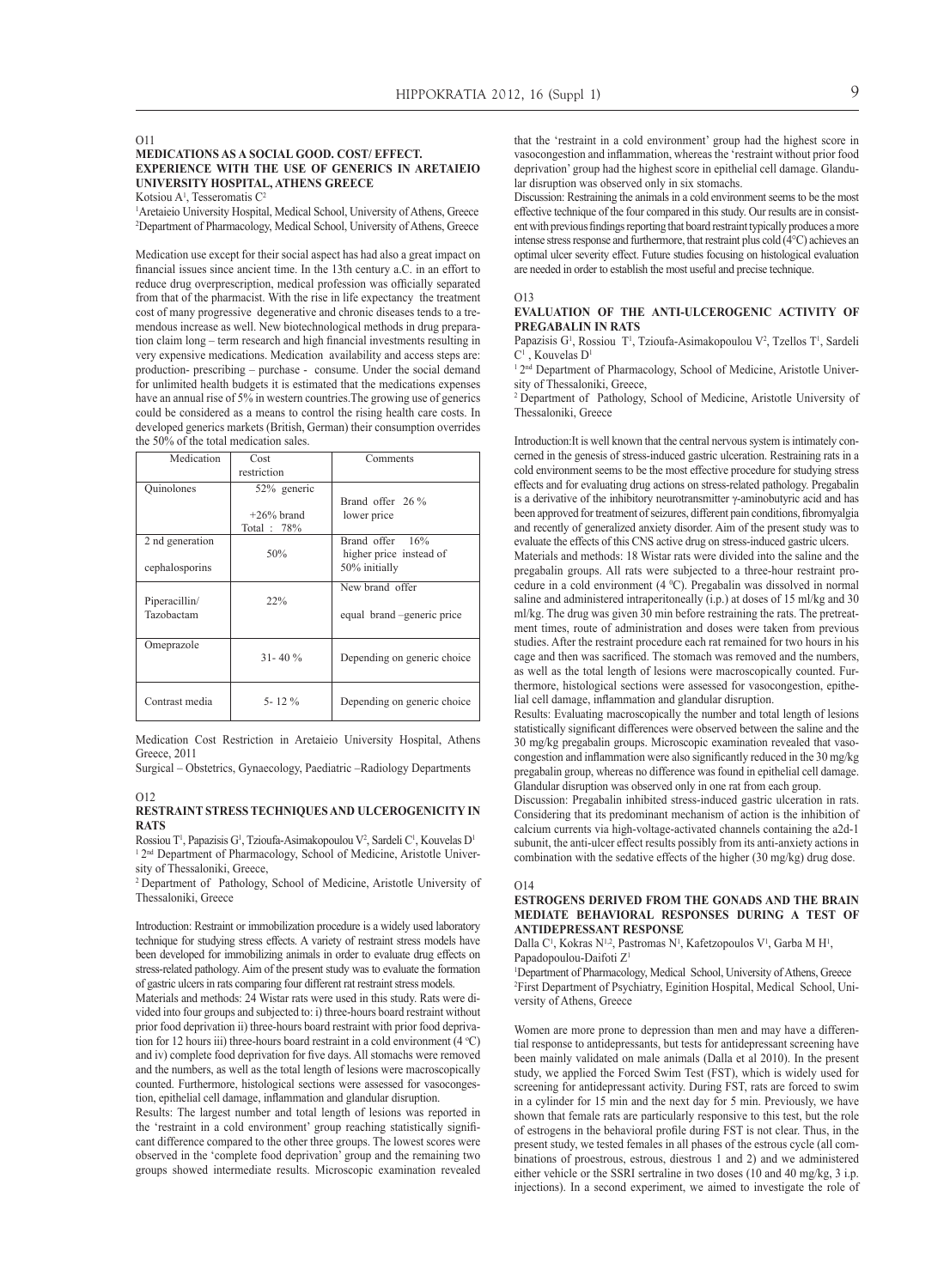#### O11

#### **Medications as a social good. Cost/ Effect. Experience with the use of generics in Aretaieio University Hospital, Athens Greece**

Kotsiou  $A<sup>1</sup>$ , Tesseromatis C<sup>2</sup>

1 Aretaieio University Hospital, Medical School, University of Athens, Greece 2 Department of Pharmacology, Medical School, University of Athens, Greece

Medication use except for their social aspect has had also a great impact on financial issues since ancient time. In the 13th century a.C. in an effort to reduce drug overprescription, medical profession was officially separated from that of the pharmacist. With the rise in life expectancy the treatment cost of many progressive degenerative and chronic diseases tends to a tremendous increase as well. New biotechnological methods in drug preparation claim long – term research and high financial investments resulting in very expensive medications. Medication availability and access steps are: production- prescribing – purchase - consume. Under the social demand for unlimited health budgets it is estimated that the medications expenses have an annual rise of 5% in western countries.The growing use of generics could be considered as a means to control the rising health care costs. In developed generics markets (British, German) their consumption overrides the 50% of the total medication sales.

| Medication      | Cost         | Comments                    |
|-----------------|--------------|-----------------------------|
|                 | restriction  |                             |
| Quinolones      | 52% generic  |                             |
|                 |              | Brand offer 26 %            |
|                 | $+26%$ brand | lower price                 |
|                 | Total: 78%   |                             |
| 2 nd generation |              | Brand offer 16%             |
|                 | 50%          | higher price instead of     |
| cephalosporins  |              | 50% initially               |
|                 |              | New brand offer             |
| Piperacillin/   | 22%          |                             |
| Tazobactam      |              | equal brand –generic price  |
|                 |              |                             |
| Omeprazole      |              |                             |
|                 | $31 - 40\%$  | Depending on generic choice |
|                 |              |                             |
|                 | $5 - 12\%$   |                             |
| Contrast media  |              | Depending on generic choice |

Medication Cost Restriction in Aretaieio University Hospital, Athens Greece, 2011

Surgical – Obstetrics, Gynaecology, Paediatric –Radiology Departments

#### O12 **Restraint stress techniques and ulcerogenicity in RATS**

Rossiou T<sup>1</sup>, Papazisis G<sup>1</sup>, Tzioufa-Asimakopoulou V<sup>2</sup>, Sardeli C<sup>1</sup>, Kouvelas D<sup>1</sup> <sup>1</sup> 2<sup>nd</sup> Department of Pharmacology, School of Medicine, Aristotle University of Thessaloniki, Greece,

2 Department of Pathology, School of Medicine, Aristotle University of Thessaloniki, Greece

Introduction: Restraint or immobilization procedure is a widely used laboratory technique for studying stress effects. A variety of restraint stress models have been developed for immobilizing animals in order to evaluate drug effects on stress-related pathology. Aim of the present study was to evaluate the formation of gastric ulcers in rats comparing four different rat restraint stress models.

Materials and methods: 24 Wistar rats were used in this study. Rats were divided into four groups and subjected to: i) three-hours board restraint without prior food deprivation ii) three-hours board restraint with prior food deprivation for 12 hours iii) three-hours board restraint in a cold environment  $(4 °C)$ and iv) complete food deprivation for five days. All stomachs were removed and the numbers, as well as the total length of lesions were macroscopically counted. Furthermore, histological sections were assessed for vasocongestion, epithelial cell damage, inflammation and glandular disruption.

Results: The largest number and total length of lesions was reported in the 'restraint in a cold environment' group reaching statistically significant difference compared to the other three groups. The lowest scores were observed in the 'complete food deprivation' group and the remaining two groups showed intermediate results. Microscopic examination revealed

that the 'restraint in a cold environment' group had the highest score in vasocongestion and inflammation, whereas the 'restraint without prior food deprivation' group had the highest score in epithelial cell damage. Glandular disruption was observed only in six stomachs.

Discussion: Restraining the animals in a cold environment seems to be the most effective technique of the four compared in this study. Our results are in consistent with previous findings reporting that board restraint typically produces a more intense stress response and furthermore, that restraint plus cold (4°C) achieves an optimal ulcer severity effect. Future studies focusing on histological evaluation are needed in order to establish the most useful and precise technique.

#### O13

#### **Evaluation of the anti-ulcerogenic activity of pregabalin in rats**

Papazisis  $G<sup>1</sup>$ , Rossiou T<sup>1</sup>, Tzioufa-Asimakopoulou V<sup>2</sup>, Tzellos T<sup>1</sup>, Sardeli  $C^1$ , Kouvelas D<sup>1</sup>

<sup>1</sup> 2<sup>nd</sup> Department of Pharmacology, School of Medicine, Aristotle University of Thessaloniki, Greece,

2 Department of Pathology, School of Medicine, Aristotle University of Thessaloniki, Greece

Introduction:It is well known that the central nervous system is intimately concerned in the genesis of stress-induced gastric ulceration. Restraining rats in a cold environment seems to be the most effective procedure for studying stress effects and for evaluating drug actions on stress-related pathology. Pregabalin is a derivative of the inhibitory neurotransmitter γ-aminobutyric acid and has been approved for treatment of seizures, different pain conditions, fibromyalgia and recently of generalized anxiety disorder. Aim of the present study was to evaluate the effects of this CNS active drug on stress-induced gastric ulcers.

Materials and methods: 18 Wistar rats were divided into the saline and the pregabalin groups. All rats were subjected to a three-hour restraint procedure in a cold environment  $(4 \degree C)$ . Pregabalin was dissolved in normal saline and administered intraperitoneally (i.p.) at doses of 15 ml/kg and 30 ml/kg. The drug was given 30 min before restraining the rats. The pretreatment times, route of administration and doses were taken from previous studies. After the restraint procedure each rat remained for two hours in his cage and then was sacrificed. The stomach was removed and the numbers, as well as the total length of lesions were macroscopically counted. Furthermore, histological sections were assessed for vasocongestion, epithelial cell damage, inflammation and glandular disruption.

Results: Evaluating macroscopically the number and total length of lesions statistically significant differences were observed between the saline and the 30 mg/kg pregabalin groups. Microscopic examination revealed that vasocongestion and inflammation were also significantly reduced in the 30 mg/kg pregabalin group, whereas no difference was found in epithelial cell damage. Glandular disruption was observed only in one rat from each group.

Discussion: Pregabalin inhibited stress-induced gastric ulceration in rats. Considering that its predominant mechanism of action is the inhibition of calcium currents via high-voltage-activated channels containing the a2d-1 subunit, the anti-ulcer effect results possibly from its anti-anxiety actions in combination with the sedative effects of the higher (30 mg/kg) drug dose.

#### $O14$

#### **Estrogens derived from the gonads and the brain mediate behavioral responses during a test of antidepressant response**

Dalla C<sup>1</sup>, Kokras N<sup>1,2</sup>, Pastromas N<sup>1</sup>, Kafetzopoulos V<sup>1</sup>, Garba M H<sup>1</sup>, Papadopoulou-Daifoti Z<sup>1</sup>

<sup>1</sup>Department of Pharmacology, Medical School, University of Athens, Greece 2 First Department of Psychiatry, Eginition Hospital, Medical School, University of Athens, Greece

Women are more prone to depression than men and may have a differential response to antidepressants, but tests for antidepressant screening have been mainly validated on male animals (Dalla et al 2010). In the present study, we applied the Forced Swim Test (FST), which is widely used for screening for antidepressant activity. During FST, rats are forced to swim in a cylinder for 15 min and the next day for 5 min. Previously, we have shown that female rats are particularly responsive to this test, but the role of estrogens in the behavioral profile during FST is not clear. Thus, in the present study, we tested females in all phases of the estrous cycle (all combinations of proestrous, estrous, diestrous 1 and 2) and we administered either vehicle or the SSRI sertraline in two doses (10 and 40 mg/kg, 3 i.p. injections). In a second experiment, we aimed to investigate the role of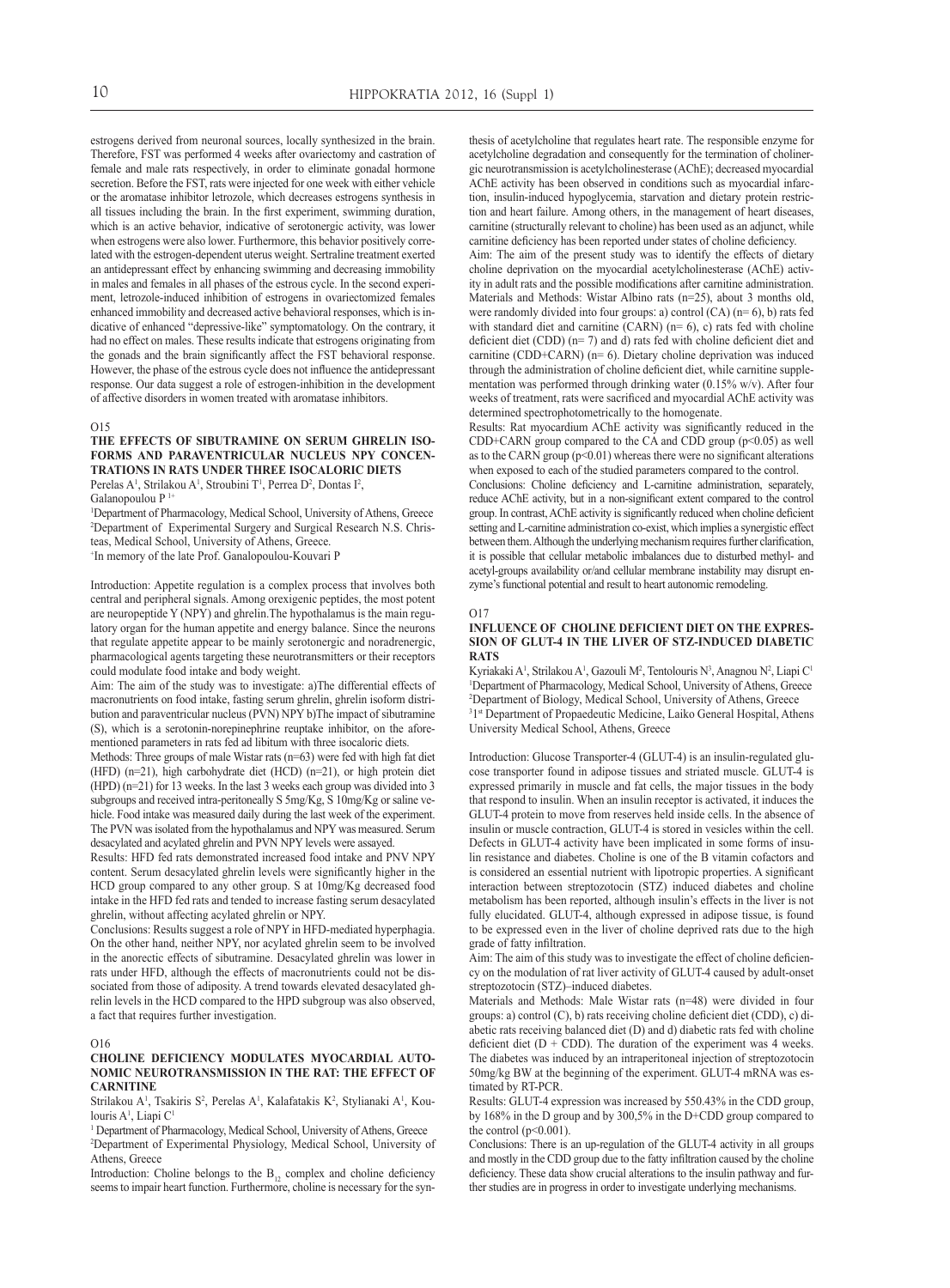estrogens derived from neuronal sources, locally synthesized in the brain. Therefore, FST was performed 4 weeks after ovariectomy and castration of female and male rats respectively, in order to eliminate gonadal hormone secretion. Before the FST, rats were injected for one week with either vehicle or the aromatase inhibitor letrozole, which decreases estrogens synthesis in all tissues including the brain. In the first experiment, swimming duration, which is an active behavior, indicative of serotonergic activity, was lower when estrogens were also lower. Furthermore, this behavior positively correlated with the estrogen-dependent uterus weight. Sertraline treatment exerted an antidepressant effect by enhancing swimming and decreasing immobility in males and females in all phases of the estrous cycle. In the second experiment, letrozole-induced inhibition of estrogens in ovariectomized females enhanced immobility and decreased active behavioral responses, which is indicative of enhanced "depressive-like" symptomatology. On the contrary, it had no effect on males. These results indicate that estrogens originating from the gonads and the brain significantly affect the FST behavioral response. However, the phase of the estrous cycle does not influence the antidepressant response. Our data suggest a role of estrogen-inhibition in the development of affective disorders in women treated with aromatase inhibitors.

#### $O15$

## **The effects of sibutramine on serum ghrelin isoforms and paraventricular nucleus NPY concentrations in rats under three isocaloric diets**

Perelas A<sup>1</sup>, Strilakou A<sup>1</sup>, Stroubini T<sup>1</sup>, Perrea D<sup>2</sup>, Dontas I<sup>2</sup>,

Galanopoulou P<sup>1+</sup>

1 Department of Pharmacology, Medical School, University of Athens, Greece 2 Department of Experimental Surgery and Surgical Research N.S. Christeas, Medical School, University of Athens, Greece.

+ In memory of the late Prof. Ganalopoulou-Kouvari P

Introduction: Appetite regulation is a complex process that involves both central and peripheral signals. Among orexigenic peptides, the most potent are neuropeptide Y (NPY) and ghrelin.The hypothalamus is the main regulatory organ for the human appetite and energy balance. Since the neurons that regulate appetite appear to be mainly serotonergic and noradrenergic, pharmacological agents targeting these neurotransmitters or their receptors could modulate food intake and body weight.

Aim: The aim of the study was to investigate: a)The differential effects of macronutrients on food intake, fasting serum ghrelin, ghrelin isoform distribution and paraventricular nucleus (PVN) NPY b)The impact of sibutramine (S), which is a serotonin-norepinephrine reuptake inhibitor, on the aforementioned parameters in rats fed ad libitum with three isocaloric diets.

Methods: Three groups of male Wistar rats (n=63) were fed with high fat diet (HFD) (n=21), high carbohydrate diet (HCD) (n=21), or high protein diet (HPD) (n=21) for 13 weeks. In the last 3 weeks each group was divided into 3 subgroups and received intra-peritoneally S 5mg/Kg, S 10mg/Kg or saline vehicle. Food intake was measured daily during the last week of the experiment. The PVN was isolated from the hypothalamus and NPY was measured. Serum desacylated and acylated ghrelin and PVN NPY levels were assayed.

Results: HFD fed rats demonstrated increased food intake and PNV NPY content. Serum desacylated ghrelin levels were significantly higher in the HCD group compared to any other group. S at 10mg/Kg decreased food intake in the HFD fed rats and tended to increase fasting serum desacylated ghrelin, without affecting acylated ghrelin or NPY.

Conclusions: Results suggest a role of NPY in HFD-mediated hyperphagia. On the other hand, neither NPY, nor acylated ghrelin seem to be involved in the anorectic effects of sibutramine. Desacylated ghrelin was lower in rats under HFD, although the effects of macronutrients could not be dissociated from those of adiposity. A trend towards elevated desacylated ghrelin levels in the HCD compared to the HPD subgroup was also observed, a fact that requires further investigation.

#### O16

#### **Choline deficiency modulates myocardial autonomic neurotransmission in the rat: the effect of carnitine**

Strilakou A<sup>1</sup>, Tsakiris S<sup>2</sup>, Perelas A<sup>1</sup>, Kalafatakis K<sup>2</sup>, Stylianaki A<sup>1</sup>, Koulouris A<sup>1</sup>, Liapi C<sup>1</sup>

<sup>1</sup> Department of Pharmacology, Medical School, University of Athens, Greece 2 Department of Experimental Physiology, Medical School, University of Athens, Greece

Introduction: Choline belongs to the  $B_{12}$  complex and choline deficiency seems to impair heart function. Furthermore, choline is necessary for the synthesis of acetylcholine that regulates heart rate. The responsible enzyme for acetylcholine degradation and consequently for the termination of cholinergic neurotransmission is acetylcholinesterase (AChE); decreased myocardial AChE activity has been observed in conditions such as myocardial infarction, insulin-induced hypoglycemia, starvation and dietary protein restriction and heart failure. Among others, in the management of heart diseases, carnitine (structurally relevant to choline) has been used as an adjunct, while carnitine deficiency has been reported under states of choline deficiency.

Aim: The aim of the present study was to identify the effects of dietary choline deprivation on the myocardial acetylcholinesterase (AChE) activity in adult rats and the possible modifications after carnitine administration. Materials and Methods: Wistar Albino rats (n=25), about 3 months old, were randomly divided into four groups: a) control  $(CA)$  (n= 6), b) rats fed with standard diet and carnitine  $(CARN)$  (n= 6), c) rats fed with choline deficient diet (CDD) (n= 7) and d) rats fed with choline deficient diet and carnitine (CDD+CARN) (n= 6). Dietary choline deprivation was induced through the administration of choline deficient diet, while carnitine supplementation was performed through drinking water (0.15% w/v). After four weeks of treatment, rats were sacrificed and myocardial AChE activity was determined spectrophotometrically to the homogenate.

Results: Rat myocardium AChE activity was significantly reduced in the CDD+CARN group compared to the CA and CDD group  $(p<0.05)$  as well as to the CARN group  $(p<0.01)$  whereas there were no significant alterations when exposed to each of the studied parameters compared to the control.

Conclusions: Choline deficiency and L-carnitine administration, separately, reduce AChE activity, but in a non-significant extent compared to the control group. In contrast, AChE activity is significantly reduced when choline deficient setting and L-carnitine administration co-exist, which implies a synergistic effect between them. Although the underlying mechanism requires further clarification, it is possible that cellular metabolic imbalances due to disturbed methyl- and acetyl-groups availability or/and cellular membrane instability may disrupt enzyme's functional potential and result to heart autonomic remodeling.

#### $O<sub>17</sub>$

#### **Ιnfluence of choline deficient diet on the expression of GLUT-4 in the liver of stz-induced diabetic rats**

Kyriakaki A<sup>1</sup>, Strilakou A<sup>1</sup>, Gazouli M<sup>2</sup>, Tentolouris N<sup>3</sup>, Anagnou N<sup>2</sup>, Liapi C<sup>1</sup> <sup>1</sup>Department of Pharmacology, Medical School, University of Athens, Greece 2 Department of Biology, Medical School, University of Athens, Greece <sup>31st</sup> Department of Propaedeutic Medicine, Laiko General Hospital, Athens University Medical School, Athens, Greece

Introduction: Glucose Transporter-4 (GLUT-4) is an insulin-regulated glucose transporter found in adipose tissues and striated muscle. GLUT-4 is expressed primarily in muscle and fat cells, the major tissues in the body that respond to insulin. When an insulin receptor is activated, it induces the GLUT-4 protein to move from reserves held inside cells. In the absence of insulin or muscle contraction, GLUT-4 is stored in vesicles within the cell. Defects in GLUT-4 activity have been implicated in some forms of insulin resistance and diabetes. Choline is one of the B vitamin cofactors and is considered an essential nutrient with lipotropic properties. A significant interaction between streptozotocin (STZ) induced diabetes and choline metabolism has been reported, although insulin's effects in the liver is not fully elucidated. GLUT-4, although expressed in adipose tissue, is found to be expressed even in the liver of choline deprived rats due to the high grade of fatty infiltration.

Aim: The aim of this study was to investigate the effect of choline deficiency on the modulation of rat liver activity of GLUT-4 caused by adult-onset streptozotocin (STZ)–induced diabetes.

Materials and Methods: Male Wistar rats (n=48) were divided in four groups: a) control (C), b) rats receiving choline deficient diet (CDD), c) diabetic rats receiving balanced diet (D) and d) diabetic rats fed with choline deficient diet  $(D + CDD)$ . The duration of the experiment was 4 weeks. The diabetes was induced by an intraperitoneal injection of streptozotocin 50mg/kg BW at the beginning of the experiment. GLUT-4 mRNA was estimated by RT-PCR.

Results: GLUT-4 expression was increased by 550.43% in the CDD group, by 168% in the D group and by 300,5% in the D+CDD group compared to the control  $(p<0.001)$ .

Conclusions: There is an up-regulation of the GLUT-4 activity in all groups and mostly in the CDD group due to the fatty infiltration caused by the choline deficiency. These data show crucial alterations to the insulin pathway and further studies are in progress in order to investigate underlying mechanisms.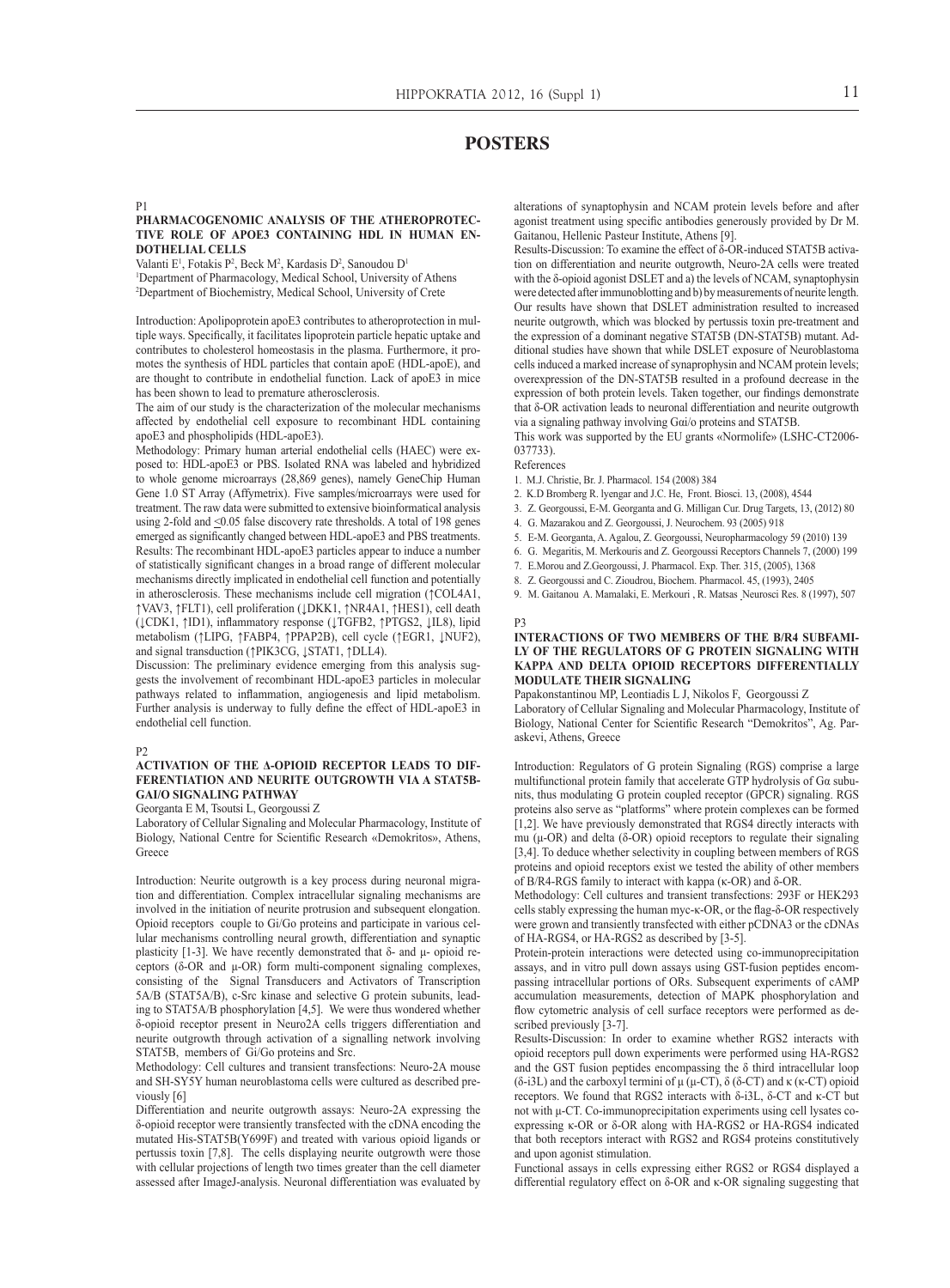# **POSTERS**

#### P1

#### **Pharmacogenomic analysis of the atheroprotective role of apoE3 containing HDL in human endothelial cells**

Valanti  $E^1$ , Fotakis P<sup>2</sup>, Beck M<sup>2</sup>, Kardasis D<sup>2</sup>, Sanoudou D<sup>1</sup> <sup>1</sup>Department of Pharmacology, Medical School, University of Athens 2 Department of Biochemistry, Medical School, University of Crete

Introduction: Apolipoprotein apoE3 contributes to atheroprotection in multiple ways. Specifically, it facilitates lipoprotein particle hepatic uptake and contributes to cholesterol homeostasis in the plasma. Furthermore, it promotes the synthesis of HDL particles that contain apoE (HDL-apoE), and are thought to contribute in endothelial function. Lack of apoE3 in mice has been shown to lead to premature atherosclerosis.

The aim of our study is the characterization of the molecular mechanisms affected by endothelial cell exposure to recombinant HDL containing apoE3 and phospholipids (HDL-apoE3).

Methodology: Primary human arterial endothelial cells (HAEC) were exposed to: HDL-apoE3 or PBS. Isolated RNA was labeled and hybridized to whole genome microarrays (28,869 genes), namely GeneChip Human Gene 1.0 ST Array (Affymetrix). Five samples/microarrays were used for treatment. The raw data were submitted to extensive bioinformatical analysis using 2-fold and <0.05 false discovery rate thresholds. A total of 198 genes emerged as significantly changed between HDL-apoE3 and PBS treatments. Results: The recombinant HDL-apoE3 particles appear to induce a number of statistically significant changes in a broad range of different molecular mechanisms directly implicated in endothelial cell function and potentially in atherosclerosis. These mechanisms include cell migration (↑COL4A1, ↑VAV3, ↑FLT1), cell proliferation (↓DKK1, ↑NR4A1, ↑HES1), cell death (↓CDK1, ↑ID1), inflammatory response (↓ΤGFB2, ↑PTGS2, ↓IL8), lipid metabolism (↑LIPG, ↑FABP4, ↑PPAP2B), cell cycle (↑EGR1, ↓NUF2), and signal transduction (↑PIK3CG, ↓STAT1, ↑DLL4).

Discussion: The preliminary evidence emerging from this analysis suggests the involvement of recombinant HDL-apoE3 particles in molecular pathways related to inflammation, angiogenesis and lipid metabolism. Further analysis is underway to fully define the effect of HDL-apoE3 in endothelial cell function.

#### P2

#### **Activation of the δ-opioid receptor leads to differentiation and neurite outgrowth via a STAT5B-Gαi/o signaling pathway**

Georganta E M, Tsoutsi L, Georgoussi Z

Laboratory of Cellular Signaling and Molecular Pharmacology, Institute of Biology, National Centre for Scientific Research «Demokritos», Athens, Greece

Introduction: Neurite outgrowth is a key process during neuronal migration and differentiation. Complex intracellular signaling mechanisms are involved in the initiation of neurite protrusion and subsequent elongation. Opioid receptors couple to Gi/Go proteins and participate in various cellular mechanisms controlling neural growth, differentiation and synaptic plasticity [1-3]. We have recently demonstrated that δ- and μ- opioid receptors (δ-OR and μ-OR) form multi-component signaling complexes, consisting of the Signal Transducers and Activators of Transcription 5A/B (STAT5A/B), c-Src kinase and selective G protein subunits, leading to STAT5A/B phosphorylation [4,5]. We were thus wondered whether δ-opioid receptor present in Neuro2A cells triggers differentiation and neurite outgrowth through activation of a signalling network involving STAT5B, members of Gi/Go proteins and Src.

Methodology: Cell cultures and transient transfections: Neuro-2A mouse and SH-SY5Y human neuroblastoma cells were cultured as described previously [6]

Differentiation and neurite outgrowth assays: Neuro-2A expressing the δ-opioid receptor were transiently transfected with the cDNA encoding the mutated His-STAT5B(Υ699F) and treated with various opioid ligands or pertussis toxin [7,8]. The cells displaying neurite outgrowth were those with cellular projections of length two times greater than the cell diameter assessed after ImageJ-analysis. Neuronal differentiation was evaluated by

alterations of synaptophysin and NCAM protein levels before and after agonist treatment using specific antibodies generously provided by Dr M. Gaitanou, Hellenic Pasteur Institute, Athens [9].

Results-Discussion: To examine the effect of δ-OR-induced STAT5B activation on differentiation and neurite outgrowth, Neuro-2A cells were treated with the δ-opioid agonist DSLET and a) the levels of NCAM, synaptophysin were detected after immunoblotting and b) by measurements of neurite length. Our results have shown that DSLET administration resulted to increased neurite outgrowth, which was blocked by pertussis toxin pre-treatment and the expression of a dominant negative STAT5B (DN-STAT5B) mutant. Additional studies have shown that while DSLET exposure of Neuroblastoma cells induced a marked increase of synaprophysin and NCAM protein levels; overexpression of the DN-STAT5B resulted in a profound decrease in the expression of both protein levels. Taken together, our findings demonstrate that δ-OR activation leads to neuronal differentiation and neurite outgrowth via a signaling pathway involving Gαi/o proteins and STAT5B.

This work was supported by the EU grants «Normolife» (LSHC-CT2006- 037733).

#### References

- 1. M.J. Christie, Br. J. Pharmacol. 154 (2008) 384
- 2. K.D Bromberg R. lyengar and J.C. He, Front. Biosci. 13, (2008), 4544
- 3. Z. Georgoussi, E-M. Georganta and G. Milligan Cur. Drug Targets, 13, (2012) 80
- 4. G. Mazarakou and Z. Georgoussi, J. Neurochem. 93 (2005) 918
- 5. E-M. Georganta, A. Agalou, Z. Georgoussi, Neuropharmacology 59 (2010) 139
- 6. G. Megaritis, M. Merkouris and Z. Georgoussi Receptors Channels 7, (2000) 199
- 7. E.Morou and Z.Georgoussi, J. Pharmacol. Exp. Ther. 315, (2005), 1368
- 8. Z. Georgoussi and C. Zioudrou, Biochem. Pharmacol. 45, (1993), 2405

9. M. Gaitanou A. Mamalaki, E. Merkouri , R. Matsas Neurosci Res. 8 (1997), 507

#### P3

#### **Interactions of two members of the B/R4 subfamily of the Regulators of G protein Signaling with kappa and delta opioid receptors differentially modulate their signaling**

Papakonstantinou MP, Leontiadis L J, Nikolos F, Georgoussi Z Laboratory of Cellular Signaling and Molecular Pharmacology, Institute of Biology, National Center for Scientific Research "Demokritos", Ag. Paraskevi, Athens, Greece

Introduction: Regulators of G protein Signaling (RGS) comprise a large multifunctional protein family that accelerate GTP hydrolysis of Gα subunits, thus modulating G protein coupled receptor (GPCR) signaling. RGS proteins also serve as "platforms" where protein complexes can be formed [1,2]. We have previously demonstrated that RGS4 directly interacts with mu (μ-OR) and delta (δ-OR) opioid receptors to regulate their signaling [3,4]. To deduce whether selectivity in coupling between members of RGS proteins and opioid receptors exist we tested the ability of other members of B/R4-RGS family to interact with kappa (κ-ΟR) and δ-OR.

Methodology: Cell cultures and transient transfections: 293F or HEK293 cells stably expressing the human myc-κ-OR, or the flag-δ-OR respectively were grown and transiently transfected with either pCDNA3 or the cDNAs of HA-RGS4, or HA-RGS2 as described by [3-5].

Protein-protein interactions were detected using co-immunoprecipitation assays, and in vitro pull down assays using GST-fusion peptides encompassing intracellular portions of ORs. Subsequent experiments of cAMP accumulation measurements, detection of MAPK phosphorylation and flow cytometric analysis of cell surface receptors were performed as described previously [3-7].

Results-Discussion: In order to examine whether RGS2 interacts with opioid receptors pull down experiments were performed using HA-RGS2 and the GST fusion peptides encompassing the  $\delta$  third intracellular loop (δ-i3L) and the carboxyl termini of μ (μ-CT), δ (δ-CT) and κ (κ-CT) opioid receptors. We found that RGS2 interacts with δ-i3L, δ-CT and κ-CT but not with μ-CT. Co-immunoprecipitation experiments using cell lysates coexpressing κ-OR or δ-OR along with HA-RGS2 or HA-RGS4 indicated that both receptors interact with RGS2 and RGS4 proteins constitutively and upon agonist stimulation.

Functional assays in cells expressing either RGS2 or RGS4 displayed a differential regulatory effect on δ-OR and κ-ΟR signaling suggesting that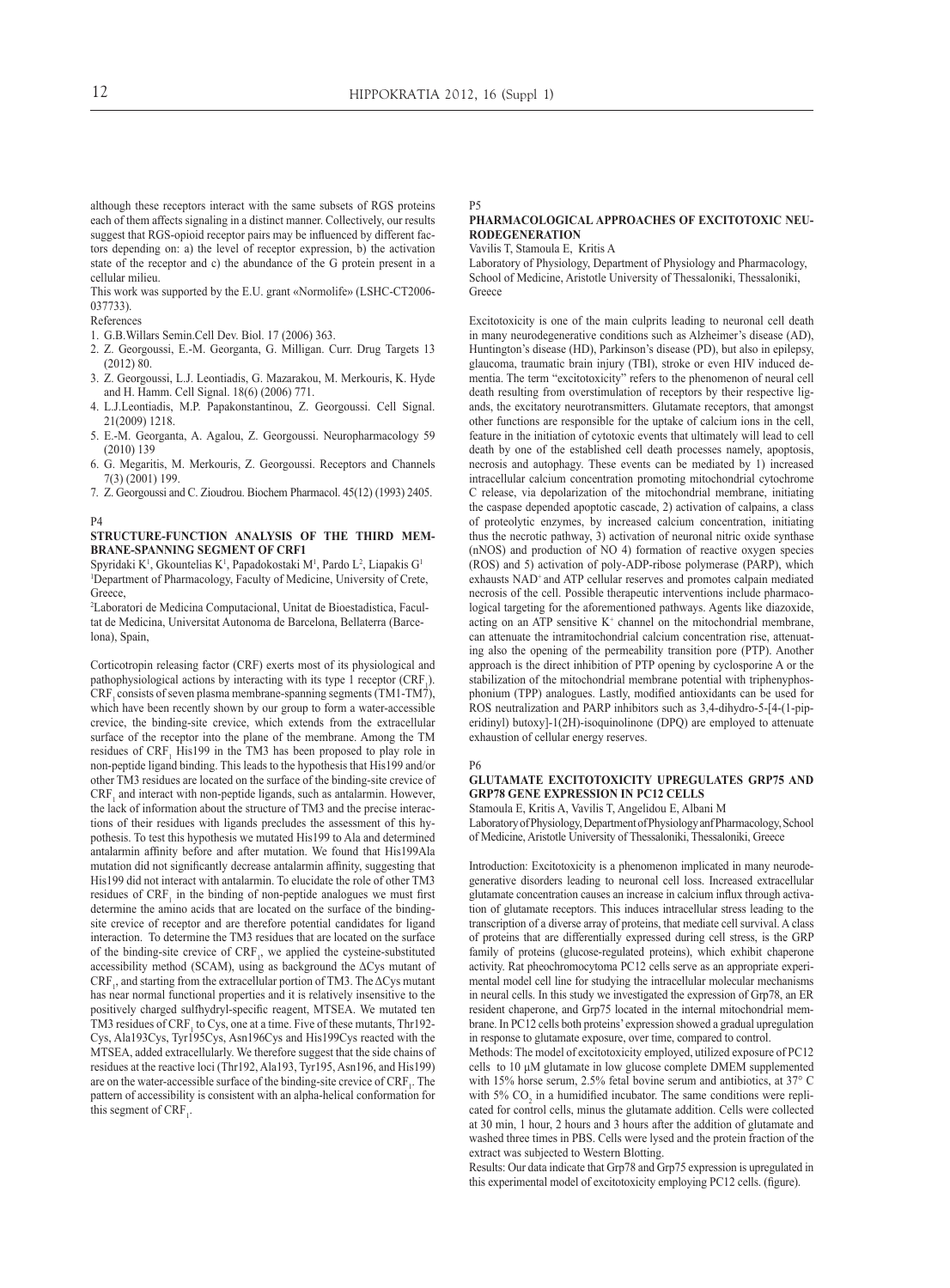P5

although these receptors interact with the same subsets of RGS proteins each of them affects signaling in a distinct manner. Collectively, our results suggest that RGS-opioid receptor pairs may be influenced by different factors depending on: a) the level of receptor expression, b) the activation state of the receptor and c) the abundance of the G protein present in a cellular milieu.

This work was supported by the E.U. grant «Normolife» (LSHC-CT2006- 037733).

References

- 1. G.B.Willars Semin.Cell Dev. Biol. 17 (2006) 363.
- 2. Z. Georgoussi, E.-M. Georganta, G. Milligan. Curr. Drug Targets 13 (2012) 80.
- 3. Z. Georgoussi, L.J. Leontiadis, G. Mazarakou, M. Merkouris, K. Hyde and H. Hamm. Cell Signal. 18(6) (2006) 771.
- 4. L.J.Leontiadis, M.P. Papakonstantinou, Z. Georgoussi. Cell Signal. 21(2009) 1218.
- 5. E.-M. Georganta, A. Agalou, Z. Georgoussi. Neuropharmacology 59 (2010) 139
- 6. G. Megaritis, M. Merkouris, Z. Georgoussi. Receptors and Channels 7(3) (2001) 199.
- 7. Z. Georgoussi and C. Zioudrou. Biochem Pharmacol. 45(12) (1993) 2405.

#### P4

#### **Structure-function analysis of the third membrane-spanning segment of CRF1**

Spyridaki K<sup>1</sup>, Gkountelias K<sup>1</sup>, Papadokostaki M<sup>1</sup>, Pardo L<sup>2</sup>, Liapakis G<sup>1</sup> <sup>1</sup>Department of Pharmacology, Faculty of Medicine, University of Crete, Greece,

2 Laboratori de Medicina Computacional, Unitat de Bioestadistica, Facultat de Medicina, Universitat Autonoma de Barcelona, Bellaterra (Barcelona), Spain,

Corticotropin releasing factor (CRF) exerts most of its physiological and pathophysiological actions by interacting with its type 1 receptor  $(CRF_1)$ .  $CRF$ , consists of seven plasma membrane-spanning segments (TM1-TM7), which have been recently shown by our group to form a water-accessible crevice, the binding-site crevice, which extends from the extracellular surface of the receptor into the plane of the membrane. Among the TM residues of  $CRF_1$  His199 in the TM3 has been proposed to play role in non-peptide ligand binding. This leads to the hypothesis that His199 and/or other TM3 residues are located on the surface of the binding-site crevice of  $CRF<sub>1</sub>$  and interact with non-peptide ligands, such as antalarmin. However, the lack of information about the structure of TM3 and the precise interactions of their residues with ligands precludes the assessment of this hypothesis. To test this hypothesis we mutated His199 to Ala and determined antalarmin affinity before and after mutation. We found that His199Ala mutation did not significantly decrease antalarmin affinity, suggesting that His199 did not interact with antalarmin. To elucidate the role of other TM3 residues of  $CRF_1$  in the binding of non-peptide analogues we must first determine the amino acids that are located on the surface of the bindingsite crevice of receptor and are therefore potential candidates for ligand interaction. To determine the TM3 residues that are located on the surface of the binding-site crevice of  $CRF<sub>1</sub>$ , we applied the cysteine-substituted accessibility method (SCAM), using as background the  $\Delta$ Cys mutant of  $\mathrm{CRF}_{1}$ , and starting from the extracellular portion of TM3. The  $\Delta \mathrm{Cys}$  mutant has near normal functional properties and it is relatively insensitive to the positively charged sulfhydryl-specific reagent, MTSEA. We mutated ten TM3 residues of  $CRF<sub>1</sub>$  to Cys, one at a time. Five of these mutants, Thr192-Cys, Ala193Cys, Tyr195Cys, Asn196Cys and His199Cys reacted with the MTSEA, added extracellularly. We therefore suggest that the side chains of residues at the reactive loci (Thr192, Ala193, Tyr195, Asn196, and His199) are on the water-accessible surface of the binding-site crevice of  $CRF_1$ . The pattern of accessibility is consistent with an alpha-helical conformation for this segment of  $CRF_1$ .

## **Pharmacological Approaches of Excitotoxic Neurodegeneration**

Vavilis T, Stamoula E, Kritis A

Laboratory of Physiology, Department of Physiology and Pharmacology, School of Medicine, Aristotle University of Thessaloniki, Thessaloniki, Greece

Excitotoxicity is one of the main culprits leading to neuronal cell death in many neurodegenerative conditions such as Alzheimer's disease (AD), Huntington's disease (HD), Parkinson's disease (PD), but also in epilepsy, glaucoma, traumatic brain injury (TBI), stroke or even HIV induced dementia. The term "excitotoxicity" refers to the phenomenon of neural cell death resulting from overstimulation of receptors by their respective ligands, the excitatory neurotransmitters. Glutamate receptors, that amongst other functions are responsible for the uptake of calcium ions in the cell, feature in the initiation of cytotoxic events that ultimately will lead to cell death by one of the established cell death processes namely, apoptosis, necrosis and autophagy. These events can be mediated by 1) increased intracellular calcium concentration promoting mitochondrial cytochrome C release, via depolarization of the mitochondrial membrane, initiating the caspase depended apoptotic cascade, 2) activation of calpains, a class of proteolytic enzymes, by increased calcium concentration, initiating thus the necrotic pathway, 3) activation of neuronal nitric oxide synthase (nNOS) and production of NO 4) formation of reactive oxygen species (ROS) and 5) activation of poly-ADP-ribose polymerase (PARP), which exhausts NAD<sup>+</sup> and ATP cellular reserves and promotes calpain mediated necrosis of the cell. Possible therapeutic interventions include pharmacological targeting for the aforementioned pathways. Agents like diazoxide, acting on an ATP sensitive  $K^+$  channel on the mitochondrial membrane, can attenuate the intramitochondrial calcium concentration rise, attenuating also the opening of the permeability transition pore (PTP). Another approach is the direct inhibition of PTP opening by cyclosporine A or the stabilization of the mitochondrial membrane potential with triphenyphosphonium (TPP) analogues. Lastly, modified antioxidants can be used for ROS neutralization and PARP inhibitors such as 3,4-dihydro-5-[4-(1-piperidinyl) butoxy]-1(2H)-isoquinolinone (DPQ) are employed to attenuate exhaustion of cellular energy reserves.

#### P6

#### **Glutamate excitotoxicity upregulates GRP75 and GRP78 gene expression in PC12 cells**

Stamoula E, Kritis A, Vavilis T, Angelidou E, Albani M

Laboratory of Physiology, Department of Physiology anf Pharmacology, School of Medicine, Aristotle University of Thessaloniki, Thessaloniki, Greece

Introduction: Excitotoxicity is a phenomenon implicated in many neurodegenerative disorders leading to neuronal cell loss. Increased extracellular glutamate concentration causes an increase in calcium influx through activation of glutamate receptors. This induces intracellular stress leading to the transcription of a diverse array of proteins, that mediate cell survival. A class of proteins that are differentially expressed during cell stress, is the GRP family of proteins (glucose-regulated proteins), which exhibit chaperone activity. Rat pheochromocytoma PC12 cells serve as an appropriate experimental model cell line for studying the intracellular molecular mechanisms in neural cells. In this study we investigated the expression of Grp78, an ER resident chaperone, and Grp75 located in the internal mitochondrial membrane. In PC12 cells both proteins' expression showed a gradual upregulation in response to glutamate exposure, over time, compared to control.

Methods: The model of excitotoxicity employed, utilized exposure of PC12 cells to 10 μΜ glutamate in low glucose complete DMEM supplemented with 15% horse serum, 2.5% fetal bovine serum and antibiotics, at 37° C with 5%  $CO<sub>2</sub>$  in a humidified incubator. The same conditions were replicated for control cells, minus the glutamate addition. Cells were collected at 30 min, 1 hour, 2 hours and 3 hours after the addition of glutamate and washed three times in PBS. Cells were lysed and the protein fraction of the extract was subjected to Western Blotting.

Results: Our data indicate that Grp78 and Grp75 expression is upregulated in this experimental model of excitotoxicity employing PC12 cells. (figure).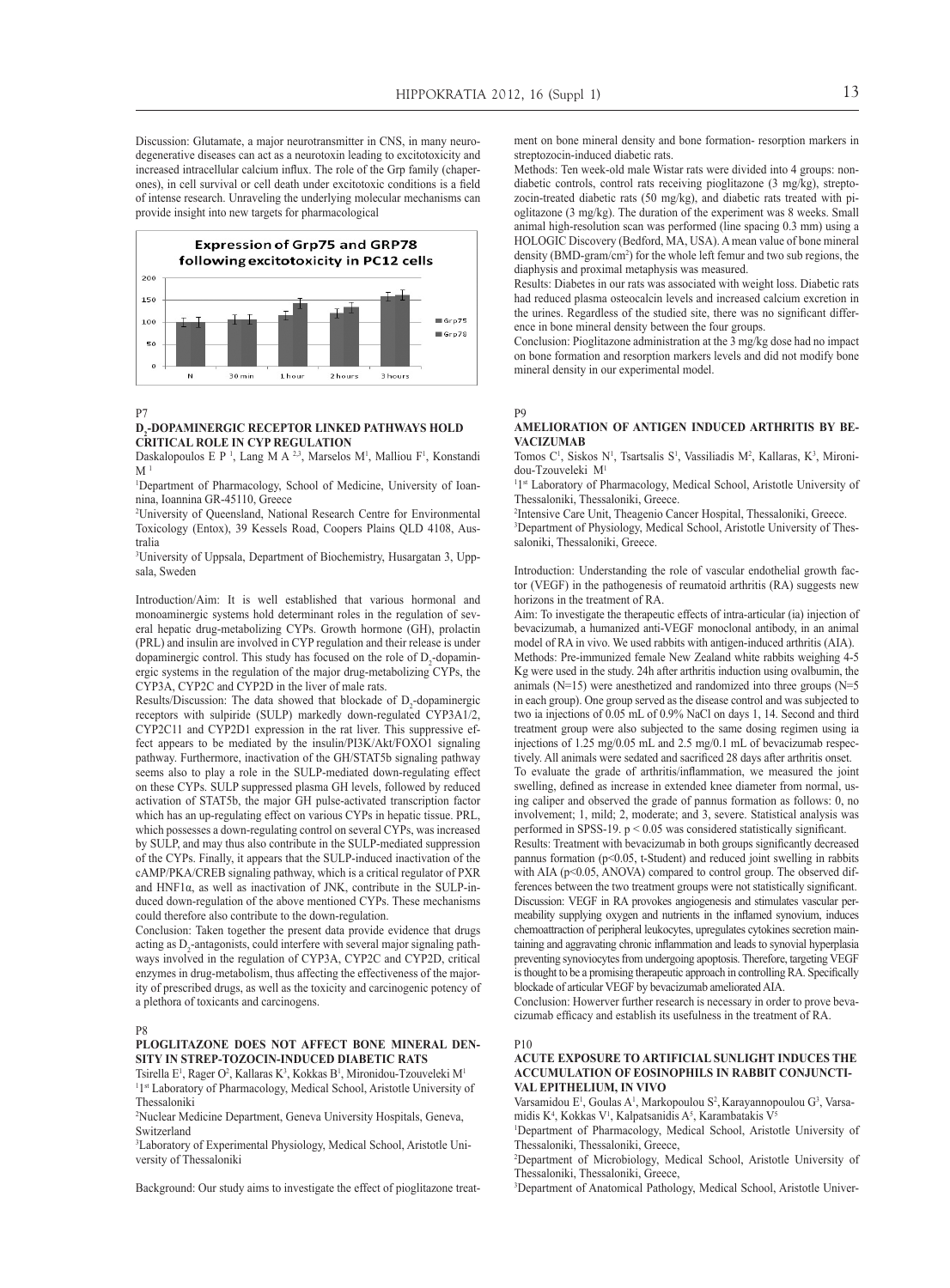Discussion: Glutamate, a major neurotransmitter in CNS, in many neurodegenerative diseases can act as a neurotoxin leading to excitotoxicity and increased intracellular calcium influx. The role of the Grp family (chaperones), in cell survival or cell death under excitotoxic conditions is a field of intense research. Unraveling the underlying molecular mechanisms can provide insight into new targets for pharmacological



P7

#### **D2 -dopaminergic receptor linked pathways hold critical role in CYP regulation**

Daskalopoulos E P<sup>1</sup>, Lang M A<sup>2,3</sup>, Marselos M<sup>1</sup>, Malliou F<sup>1</sup>, Konstandi  $M<sup>1</sup>$ 

1 Department of Pharmacology, School of Medicine, University of Ioannina, Ioannina GR-45110, Greece

2 University of Queensland, National Research Centre for Environmental Toxicology (Entox), 39 Kessels Road, Coopers Plains QLD 4108, Australia

3 University of Uppsala, Department of Biochemistry, Husargatan 3, Uppsala, Sweden

Introduction/Aim: It is well established that various hormonal and monoaminergic systems hold determinant roles in the regulation of several hepatic drug-metabolizing CYPs. Growth hormone (GH), prolactin (PRL) and insulin are involved in CYP regulation and their release is under dopaminergic control. This study has focused on the role of  $D_2$ -dopaminergic systems in the regulation of the major drug-metabolizing CYPs, the CYP3A, CYP2C and CYP2D in the liver of male rats.

Results/Discussion: The data showed that blockade of  $D_2$ -dopaminergic receptors with sulpiride (SULP) markedly down-regulated CYP3A1/2, CYP2C11 and CYP2D1 expression in the rat liver. This suppressive effect appears to be mediated by the insulin/PI3K/Akt/FOXO1 signaling pathway. Furthermore, inactivation of the GH/STAT5b signaling pathway seems also to play a role in the SULP-mediated down-regulating effect on these CYPs. SULP suppressed plasma GH levels, followed by reduced activation of STAT5b, the major GH pulse-activated transcription factor which has an up-regulating effect on various CYPs in hepatic tissue. PRL, which possesses a down-regulating control on several CYPs, was increased by SULP, and may thus also contribute in the SULP-mediated suppression of the CYPs. Finally, it appears that the SULP-induced inactivation of the cAMP/PKA/CREB signaling pathway, which is a critical regulator of PXR and HNF1α, as well as inactivation of JNK, contribute in the SULP-induced down-regulation of the above mentioned CYPs. These mechanisms could therefore also contribute to the down-regulation.

Conclusion: Taken together the present data provide evidence that drugs acting as  $D_2$ -antagonists, could interfere with several major signaling pathways involved in the regulation of CYP3A, CYP2C and CYP2D, critical enzymes in drug-metabolism, thus affecting the effectiveness of the majority of prescribed drugs, as well as the toxicity and carcinogenic potency of a plethora of toxicants and carcinogens.

#### P8

#### **Ploglitazone does not affect bone mineral density in strep-tozocin-induced diabetic rats**

Tsirella E<sup>1</sup>, Rager O<sup>2</sup>, Kallaras K<sup>3</sup>, Kokkas B<sup>1</sup>, Mironidou-Tzouveleki M<sup>1</sup> <sup>1</sup>1<sup>st</sup> Laboratory of Pharmacology, Medical School, Aristotle University of Thessaloniki

2 Nuclear Medicine Department, Geneva University Hospitals, Geneva, Switzerland

3 Laboratory of Experimental Physiology, Medical School, Aristotle University of Thessaloniki

Background: Our study aims to investigate the effect of pioglitazone treat-

ment on bone mineral density and bone formation- resorption markers in streptozocin-induced diabetic rats.

Methods: Ten week-old male Wistar rats were divided into 4 groups: nondiabetic controls, control rats receiving pioglitazone (3 mg/kg), streptozocin-treated diabetic rats (50 mg/kg), and diabetic rats treated with pioglitazone (3 mg/kg). The duration of the experiment was 8 weeks. Small animal high-resolution scan was performed (line spacing 0.3 mm) using a HOLOGIC Discovery (Bedford, MA, USA). A mean value of bone mineral density (BMD-gram/cm<sup>2</sup> ) for the whole left femur and two sub regions, the diaphysis and proximal metaphysis was measured.

Results: Diabetes in our rats was associated with weight loss. Diabetic rats had reduced plasma osteocalcin levels and increased calcium excretion in the urines. Regardless of the studied site, there was no significant difference in bone mineral density between the four groups.

Conclusion: Pioglitazone administration at the 3 mg/kg dose had no impact on bone formation and resorption markers levels and did not modify bone mineral density in our experimental model.

P9

#### **Amelioration of antigen induced arthritis by bevacizumab**

Tomos C<sup>1</sup>, Siskos N<sup>1</sup>, Tsartsalis S<sup>1</sup>, Vassiliadis M<sup>2</sup>, Kallaras, K<sup>3</sup>, Mironidou-Tzouveleki M1

<sup>1</sup>1<sup>st</sup> Laboratory of Pharmacology, Medical School, Aristotle University of Thessaloniki, Thessaloniki, Greece.

2 Intensive Care Unit, Theagenio Cancer Hospital, Thessaloniki, Greece. 3 Department of Physiology, Medical School, Aristotle University of Thessaloniki, Thessaloniki, Greece.

Introduction: Understanding the role of vascular endothelial growth factor (VEGF) in the pathogenesis of reumatoid arthritis (RA) suggests new horizons in the treatment of RA.

Aim: To investigate the therapeutic effects of intra-articular (ia) injection of bevacizumab, a humanized anti-VEGF monoclonal antibody, in an animal model of RA in vivo. We used rabbits with antigen-induced arthritis (AIA). Methods: Pre-immunized female New Zealand white rabbits weighing 4-5 Kg were used in the study. 24h after arthritis induction using ovalbumin, the animals (N=15) were anesthetized and randomized into three groups (N=5 in each group). One group served as the disease control and was subjected to two ia injections of 0.05 mL of 0.9% NaCl on days 1, 14. Second and third treatment group were also subjected to the same dosing regimen using ia injections of 1.25 mg/0.05 mL and 2.5 mg/0.1 mL of bevacizumab respectively. All animals were sedated and sacrificed 28 days after arthritis onset. To evaluate the grade of arthritis/inflammation, we measured the joint swelling, defined as increase in extended knee diameter from normal, us-

ing caliper and observed the grade of pannus formation as follows: 0, no involvement; 1, mild; 2, moderate; and 3, severe. Statistical analysis was performed in SPSS-19. p < 0.05 was considered statistically significant.

Results: Treatment with bevacizumab in both groups significantly decreased pannus formation (p<0.05, t-Student) and reduced joint swelling in rabbits with AIA ( $p$ <0.05, ANOVA) compared to control group. The observed differences between the two treatment groups were not statistically significant. Discussion: VEGF in RA provokes angiogenesis and stimulates vascular permeability supplying oxygen and nutrients in the inflamed synovium, induces chemoattraction of peripheral leukocytes, upregulates cytokines secretion maintaining and aggravating chronic inflammation and leads to synovial hyperplasia preventing synoviocytes from undergoing apoptosis. Therefore, targeting VEGF is thought to be a promising therapeutic approach in controlling RA. Specifically blockade of articular VEGF by bevacizumab ameliorated AIA.

Conclusion: Howerver further research is necessary in order to prove bevacizumab efficacy and establish its usefulness in the treatment of RA.

#### P10

#### **Acute exposure to artificial sunlight induces the accumulation of eosinophils in rabbit conjunctival epithelium, in vivo**

Varsamidou E<sup>1</sup>, Goulas A<sup>1</sup>, Markopoulou S<sup>2</sup>, Karayannopoulou G<sup>3</sup>, Varsamidis  $K^4$ , Kokkas V<sup>1</sup>, Kalpatsanidis A<sup>5</sup>, Karambatakis V<sup>5</sup>

1 Department of Pharmacology, Medical School, Aristotle University of Thessaloniki, Thessaloniki, Greece,

2 Department of Microbiology, Medical School, Aristotle University of Thessaloniki, Thessaloniki, Greece,

3 Department of Anatomical Pathology, Medical School, Aristotle Univer-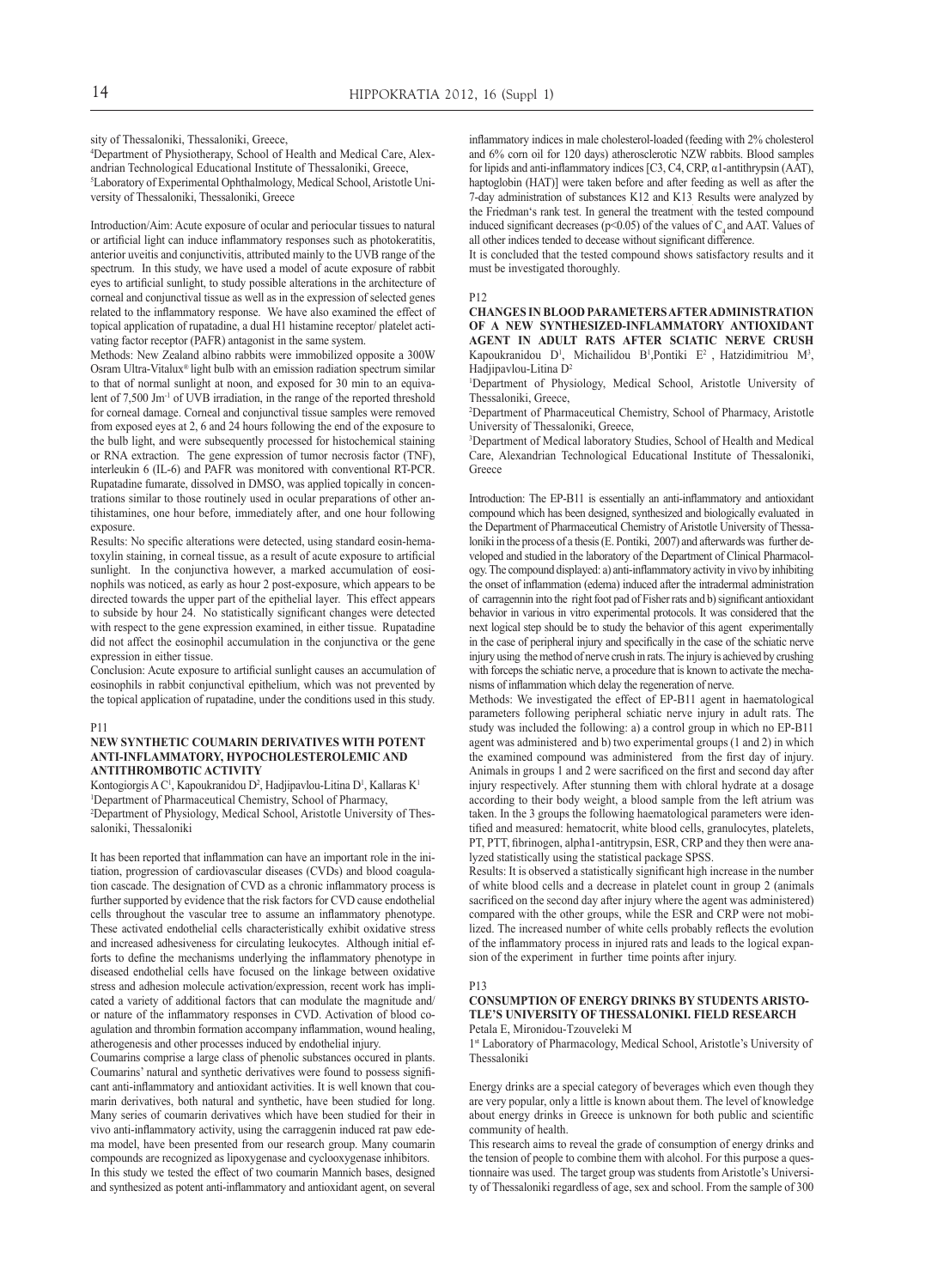sity of Thessaloniki, Thessaloniki, Greece,

4 Department of Physiotherapy, School of Health and Medical Care, Alexandrian Technological Educational Institute of Thessaloniki, Greece, 5 Laboratory of Experimental Ophthalmology, Medical School, Aristotle University of Thessaloniki, Thessaloniki, Greece

Introduction/Aim: Acute exposure of ocular and periocular tissues to natural or artificial light can induce inflammatory responses such as photokeratitis, anterior uveitis and conjunctivitis, attributed mainly to the UVB range of the spectrum. In this study, we have used a model of acute exposure of rabbit eyes to artificial sunlight, to study possible alterations in the architecture of corneal and conjunctival tissue as well as in the expression of selected genes related to the inflammatory response. We have also examined the effect of topical application of rupatadine, a dual H1 histamine receptor/ platelet activating factor receptor (PAFR) antagonist in the same system.

Methods: New Zealand albino rabbits were immobilized opposite a 300W Osram Ultra-Vitalux® light bulb with an emission radiation spectrum similar to that of normal sunlight at noon, and exposed for 30 min to an equivalent of 7,500 Jm-1 of UVB irradiation, in the range of the reported threshold for corneal damage. Corneal and conjunctival tissue samples were removed from exposed eyes at 2, 6 and 24 hours following the end of the exposure to the bulb light, and were subsequently processed for histochemical staining or RNA extraction. The gene expression of tumor necrosis factor (TNF), interleukin 6 (IL-6) and PAFR was monitored with conventional RT-PCR. Rupatadine fumarate, dissolved in DMSO, was applied topically in concentrations similar to those routinely used in ocular preparations of other antihistamines, one hour before, immediately after, and one hour following exposure.

Results: No specific alterations were detected, using standard eosin-hematoxylin staining, in corneal tissue, as a result of acute exposure to artificial sunlight. In the conjunctiva however, a marked accumulation of eosinophils was noticed, as early as hour 2 post-exposure, which appears to be directed towards the upper part of the epithelial layer. This effect appears to subside by hour 24. No statistically significant changes were detected with respect to the gene expression examined, in either tissue. Rupatadine did not affect the eosinophil accumulation in the conjunctiva or the gene expression in either tissue.

Conclusion: Acute exposure to artificial sunlight causes an accumulation of eosinophils in rabbit conjunctival epithelium, which was not prevented by the topical application of rupatadine, under the conditions used in this study.

#### P11

#### **New synthetic Coumarin derivatives with potent anti-inflammatory, hypocholesterolemic and antithrombotic activity**

Kontogiorgis A C<sup>1</sup>, Kapoukranidou D<sup>2</sup>, Hadjipavlou-Litina D<sup>1</sup>, Kallaras K<sup>1</sup> 1 Department of Pharmaceutical Chemistry, School of Pharmacy, 2 Department of Physiology, Medical School, Aristotle University of Thessaloniki, Thessaloniki

It has been reported that inflammation can have an important role in the initiation, progression of cardiovascular diseases (CVDs) and blood coagulation cascade. The designation of CVD as a chronic inflammatory process is further supported by evidence that the risk factors for CVD cause endothelial cells throughout the vascular tree to assume an inflammatory phenotype. These activated endothelial cells characteristically exhibit oxidative stress and increased adhesiveness for circulating leukocytes. Although initial efforts to define the mechanisms underlying the inflammatory phenotype in diseased endothelial cells have focused on the linkage between oxidative stress and adhesion molecule activation/expression, recent work has implicated a variety of additional factors that can modulate the magnitude and/ or nature of the inflammatory responses in CVD. Activation of blood coagulation and thrombin formation accompany inflammation, wound healing, atherogenesis and other processes induced by endothelial injury.

Coumarins comprise a large class of phenolic substances occured in plants. Coumarins' natural and synthetic derivatives were found to possess significant anti-inflammatory and antioxidant activities. It is well known that coumarin derivatives, both natural and synthetic, have been studied for long. Many series of coumarin derivatives which have been studied for their in vivo anti-inflammatory activity, using the carraggenin induced rat paw edema model, have been presented from our research group. Many coumarin compounds are recognized as lipoxygenase and cyclooxygenase inhibitors. In this study we tested the effect of two coumarin Mannich bases, designed and synthesized as potent anti-inflammatory and antioxidant agent, on several

inflammatory indices in male cholesterol-loaded (feeding with 2% cholesterol and 6% corn oil for 120 days) atherosclerotic NZW rabbits. Blood samples for lipids and anti-inflammatory indices [C3, C4, CRP, α1-antithrypsin (ΑΑΤ), haptoglobin (HAT)] were taken before and after feeding as well as after the 7-day administration of substances K12 and K13. Results were analyzed by the Friedman's rank test. In general the treatment with the tested compound induced significant decreases ( $p$ <0.05) of the values of C<sub>4</sub> and AAT. Values of all other indices tended to decease without significant difference.

It is concluded that the tested compound shows satisfactory results and it must be investigated thoroughly.

#### P12

**Changes in blood parametersafteradministration of a new synthesized-inflammatory antioxidant agent in adult rats after sciatic nerve crush** Kapoukranidou  $D^1$ , Michailidou  $B^1$ , Pontiki  $E^2$ , Hatzidimitriou  $M^3$ , Hadjipavlou-Litina D2

1 Department of Physiology, Medical School, Aristotle University of Thessaloniki, Greece,

2 Department of Pharmaceutical Chemistry, School of Pharmacy, Aristotle University of Thessaloniki, Greece,

3 Department of Medical laboratory Studies, School of Health and Medical Care, Alexandrian Technological Educational Institute of Thessaloniki, Greece

Introduction: The EP-B11 is essentially an anti-inflammatory and antioxidant compound which has been designed, synthesized and biologically evaluated in the Department of Pharmaceutical Chemistry of Aristotle University of Thessaloniki in the process of a thesis (E. Pontiki, 2007) and afterwards was further developed and studied in the laboratory of the Department of Clinical Pharmacology. The compound displayed: a) anti-inflammatory activity in vivo by inhibiting the onset of inflammation (edema) induced after the intradermal administration of carragennin into the right foot pad of Fisher rats and b) significant antioxidant behavior in various in vitro experimental protocols. It was considered that the next logical step should be to study the behavior of this agent experimentally in the case of peripheral injury and specifically in the case of the schiatic nerve injury using the method of nerve crush in rats. The injury is achieved by crushing with forceps the schiatic nerve, a procedure that is known to activate the mechanisms of inflammation which delay the regeneration of nerve.

Methods: We investigated the effect of EP-B11 agent in haematological parameters following peripheral schiatic nerve injury in adult rats. The study was included the following: a) a control group in which no EP-B11 agent was administered and b) two experimental groups (1 and 2) in which the examined compound was administered from the first day of injury. Animals in groups 1 and 2 were sacrificed on the first and second day after injury respectively. After stunning them with chloral hydrate at a dosage according to their body weight, a blood sample from the left atrium was taken. In the 3 groups the following haematological parameters were identified and measured: hematocrit, white blood cells, granulocytes, platelets, PT, PTT, fibrinogen, alpha1-antitrypsin, ESR, CRP and they then were analyzed statistically using the statistical package SPSS.

Results: It is observed a statistically significant high increase in the number of white blood cells and a decrease in platelet count in group 2 (animals sacrificed on the second day after injury where the agent was administered) compared with the other groups, while the ESR and CRP were not mobilized. The increased number of white cells probably reflects the evolution of the inflammatory process in injured rats and leads to the logical expansion of the experiment in further time points after injury.

#### P13

#### **Consumption of energy drinks by students Aristotle's University of Thessaloniki. Field research** Petala E, Mironidou-Tzouveleki M

1st Laboratory of Pharmacology, Medical School, Aristotle's University of Thessaloniki

Energy drinks are a special category of beverages which even though they are very popular, only a little is known about them. The level of knowledge about energy drinks in Greece is unknown for both public and scientific community of health.

This research aims to reveal the grade of consumption of energy drinks and the tension of people to combine them with alcohol. For this purpose a questionnaire was used. The target group was students from Aristotle's University of Thessaloniki regardless of age, sex and school. From the sample of 300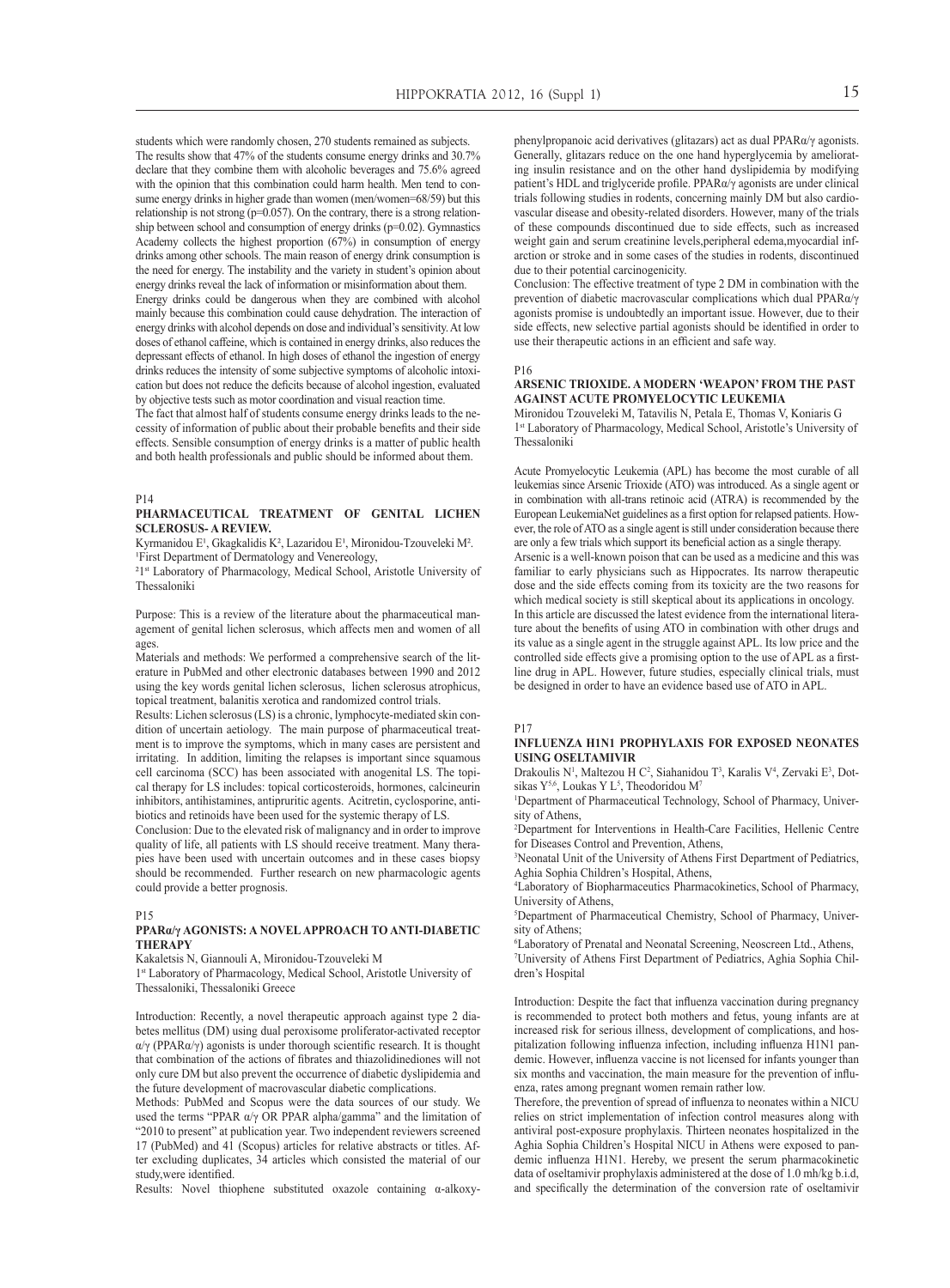students which were randomly chosen, 270 students remained as subjects. The results show that 47% of the students consume energy drinks and 30.7% declare that they combine them with alcoholic beverages and 75.6% agreed with the opinion that this combination could harm health. Men tend to consume energy drinks in higher grade than women (men/women=68/59) but this relationship is not strong ( $p=0.057$ ). On the contrary, there is a strong relationship between school and consumption of energy drinks  $(p=0.02)$ . Gymnastics Academy collects the highest proportion (67%) in consumption of energy drinks among other schools. The main reason of energy drink consumption is the need for energy. The instability and the variety in student's opinion about energy drinks reveal the lack of information or misinformation about them.

Energy drinks could be dangerous when they are combined with alcohol mainly because this combination could cause dehydration. The interaction of energy drinks with alcohol depends on dose and individual's sensitivity. At low doses of ethanol caffeine, which is contained in energy drinks, also reduces the depressant effects of ethanol. In high doses of ethanol the ingestion of energy drinks reduces the intensity of some subjective symptoms of alcoholic intoxication but does not reduce the deficits because of alcohol ingestion, evaluated by objective tests such as motor coordination and visual reaction time.

The fact that almost half of students consume energy drinks leads to the necessity of information of public about their probable benefits and their side effects. Sensible consumption of energy drinks is a matter of public health and both health professionals and public should be informed about them.

P14

#### **Pharmaceutical treatment of genital lichen sclerosus- a review.**

Kyrmanidou  $E^1$ , Gkagkalidis K<sup>2</sup>, Lazaridou  $E^1$ , Mironidou-Tzouveleki M<sup>2</sup>. <sup>1</sup>First Department of Dermatology and Venereology,

<sup>21st</sup> Laboratory of Pharmacology, Medical School, Aristotle University of Thessaloniki

Purpose: This is a review of the literature about the pharmaceutical management of genital lichen sclerosus, which affects men and women of all ages.

Materials and methods: We performed a comprehensive search of the literature in PubMed and other electronic databases between 1990 and 2012 using the key words genital lichen sclerosus, lichen sclerosus atrophicus, topical treatment, balanitis xerotica and randomized control trials.

Results: Lichen sclerosus (LS) is a chronic, lymphocyte-mediated skin condition of uncertain aetiology. The main purpose of pharmaceutical treatment is to improve the symptoms, which in many cases are persistent and irritating. In addition, limiting the relapses is important since squamous cell carcinoma (SCC) has been associated with anogenital LS. The topical therapy for LS includes: topical corticosteroids, hormones, calcineurin inhibitors, antihistamines, antipruritic agents. Acitretin, cyclosporine, antibiotics and retinoids have been used for the systemic therapy of LS.

Conclusion: Due to the elevated risk of malignancy and in order to improve quality of life, all patients with LS should receive treatment. Many therapies have been used with uncertain outcomes and in these cases biopsy should be recommended. Further research on new pharmacologic agents could provide a better prognosis.

#### $P15$

#### **PPARα/γ agonists: a novel approach to anti-diabetic therapy**

Kakaletsis N, Giannouli A, Mironidou-Tzouveleki M

1st Laboratory of Pharmacology, Medical School, Aristotle University of Thessaloniki, Thessaloniki Greece

Introduction: Recently, a novel therapeutic approach against type 2 diabetes mellitus (DM) using dual peroxisome proliferator-activated receptor α/γ (PPARα/γ) agonists is under thorough scientific research. It is thought that combination of the actions of fibrates and thiazolidinediones will not only cure DM but also prevent the occurrence of diabetic dyslipidemia and the future development of macrovascular diabetic complications.

Methods: PubMed and Scopus were the data sources of our study. We used the terms "PPAR  $\alpha/\gamma$  OR PPAR alpha/gamma" and the limitation of "2010 to present" at publication year. Two independent reviewers screened 17 (PubMed) and 41 (Scopus) articles for relative abstracts or titles. After excluding duplicates, 34 articles which consisted the material of our study,were identified.

Results: Novel thiophene substituted oxazole containing α-alkoxy-

phenylpropanoic acid derivatives (glitazars) act as dual PPARα/γ agonists. Generally, glitazars reduce on the one hand hyperglycemia by ameliorating insulin resistance and on the other hand dyslipidemia by modifying patient's HDL and triglyceride profile. PPARα/γ agonists are under clinical trials following studies in rodents, concerning mainly DM but also cardiovascular disease and obesity-related disorders. However, many of the trials of these compounds discontinued due to side effects, such as increased weight gain and serum creatinine levels, peripheral edema, myocardial infarction or stroke and in some cases of the studies in rodents, discontinued due to their potential carcinogenicity.

Conclusion: The effective treatment of type 2 DM in combination with the prevention of diabetic macrovascular complications which dual PPARα/γ agonists promise is undoubtedly an important issue. However, due to their side effects, new selective partial agonists should be identified in order to use their therapeutic actions in an efficient and safe way.

P16

#### **Arsenic Trioxide. A modern 'weapon' from the past against Acute Promyelocytic Leukemia**

Mironidou Tzouveleki M, Tatavilis N, Petala E, Thomas V, Koniaris G 1st Laboratory of Pharmacology, Medical School, Aristotle's University of Thessaloniki

Acute Promyelocytic Leukemia (APL) has become the most curable of all leukemias since Arsenic Trioxide (ATO) was introduced. As a single agent or in combination with all-trans retinoic acid (ATRA) is recommended by the European LeukemiaNet guidelines as a first option for relapsed patients. However, the role of ATO as a single agent is still under consideration because there are only a few trials which support its beneficial action as a single therapy. Arsenic is a well-known poison that can be used as a medicine and this was familiar to early physicians such as Hippocrates. Its narrow therapeutic dose and the side effects coming from its toxicity are the two reasons for which medical society is still skeptical about its applications in oncology. In this article are discussed the latest evidence from the international literature about the benefits of using ATO in combination with other drugs and its value as a single agent in the struggle against APL. Its low price and the controlled side effects give a promising option to the use of APL as a firstline drug in APL. However, future studies, especially clinical trials, must be designed in order to have an evidence based use of ATO in APL.

#### P17

#### **Influenza H1N1 prophylaxis for exposed neonates using Oseltamivir**

Drakoulis N<sup>1</sup>, Maltezou H C<sup>2</sup>, Siahanidou T<sup>3</sup>, Karalis V<sup>4</sup>, Zervaki E<sup>3</sup>, Dotsikas  $Y^{5,6}$ , Loukas Y L<sup>5</sup>, Theodoridou M<sup>7</sup>

<sup>1</sup>Department of Pharmaceutical Technology, School of Pharmacy, University of Athens,

2 Department for Interventions in Health-Care Facilities, Hellenic Centre for Diseases Control and Prevention, Athens,

3 Neonatal Unit of the University of Athens First Department of Pediatrics, Aghia Sophia Children's Hospital, Athens,

4 Laboratory of Biopharmaceutics Pharmacokinetics, School of Pharmacy, University of Athens,

5 Department of Pharmaceutical Chemistry, School of Pharmacy, University of Athens;

6 Laboratory of Prenatal and Neonatal Screening, Neoscreen Ltd., Athens, 7 University of Athens First Department of Pediatrics, Aghia Sophia Children's Hospital

Introduction: Despite the fact that influenza vaccination during pregnancy is recommended to protect both mothers and fetus, young infants are at increased risk for serious illness, development of complications, and hospitalization following influenza infection, including influenza H1N1 pandemic. However, influenza vaccine is not licensed for infants younger than six months and vaccination, the main measure for the prevention of influenza, rates among pregnant women remain rather low.

Therefore, the prevention of spread of influenza to neonates within a NICU relies on strict implementation of infection control measures along with antiviral post-exposure prophylaxis. Thirteen neonates hospitalized in the Aghia Sophia Children's Hospital NICU in Athens were exposed to pandemic influenza H1N1. Hereby, we present the serum pharmacokinetic data of oseltamivir prophylaxis administered at the dose of 1.0 mh/kg b.i.d, and specifically the determination of the conversion rate of oseltamivir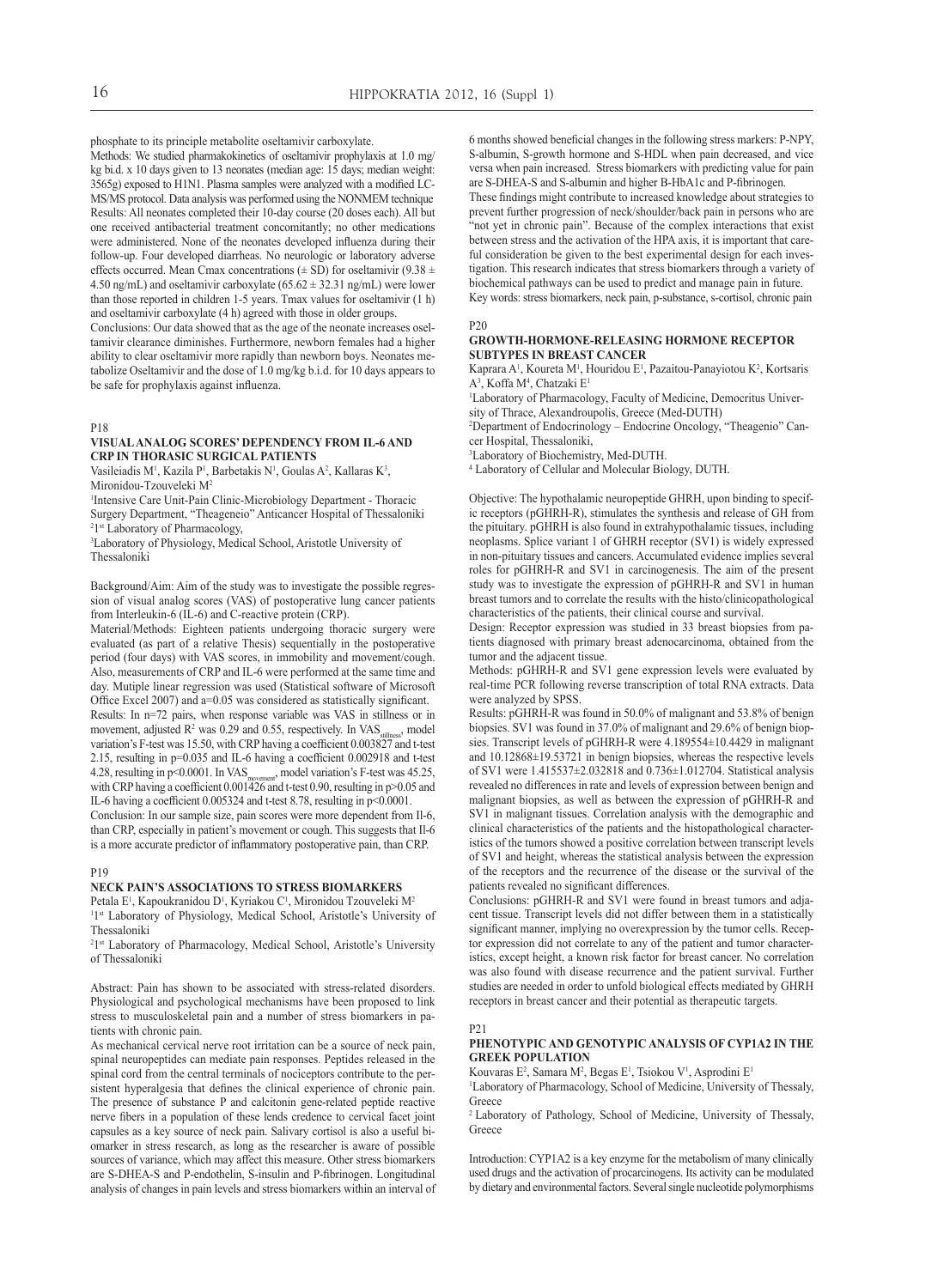phosphate to its principle metabolite oseltamivir carboxylate.

Methods: We studied pharmakokinetics of oseltamivir prophylaxis at 1.0 mg/ kg bi.d. x 10 days given to 13 neonates (median age: 15 days; median weight: 3565g) exposed to H1N1. Plasma samples were analyzed with a modified LC-MS/MS protocol. Data analysis was performed using the NONMEM technique Results: All neonates completed their 10-day course (20 doses each). All but one received antibacterial treatment concomitantly; no other medications were administered. None of the neonates developed influenza during their follow-up. Four developed diarrheas. No neurologic or laboratory adverse effects occurred. Mean Cmax concentrations ( $\pm$  SD) for oseltamivir (9.38  $\pm$ 4.50 ng/mL) and oseltamivir carboxylate  $(65.62 \pm 32.31 \text{ ng/mL})$  were lower than those reported in children 1-5 years. Tmax values for oseltamivir (1 h) and oseltamivir carboxylate (4 h) agreed with those in older groups.

Conclusions: Our data showed that as the age of the neonate increases oseltamivir clearance diminishes. Furthermore, newborn females had a higher ability to clear oseltamivir more rapidly than newborn boys. Neonates metabolize Oseltamivir and the dose of 1.0 mg/kg b.i.d. for 10 days appears to be safe for prophylaxis against influenza.

#### P18

## **Visualanalog scores' dependency from IL-6 and CRP in thorasic surgical patients**

Vasileiadis M<sup>1</sup>, Kazila P<sup>1</sup>, Barbetakis N<sup>1</sup>, Goulas A<sup>2</sup>, Kallaras K<sup>3</sup>, Mironidou-Tzouveleki M2

1 Intensive Care Unit-Pain Clinic-Microbiology Department - Thoracic Surgery Department, "Theageneio" Anticancer Hospital of Thessaloniki

<sup>2</sup>1<sup>st</sup> Laboratory of Pharmacology,<br><sup>3</sup>I aboratory of Physiology Medic

Laboratory of Physiology, Medical School, Aristotle University of Thessaloniki

Background/Aim: Aim of the study was to investigate the possible regression of visual analog scores (VAS) of postoperative lung cancer patients from Interleukin-6 (IL-6) and C-reactive protein (CRP).

Material/Methods: Eighteen patients undergoing thoracic surgery were evaluated (as part of a relative Thesis) sequentially in the postoperative period (four days) with VAS scores, in immobility and movement/cough. Also, measurements of CRP and IL-6 were performed at the same time and day. Mutiple linear regression was used (Statistical software of Microsoft Office Excel 2007) and a=0.05 was considered as statistically significant. Results: In n=72 pairs, when response variable was VAS in stillness or in movement, adjusted R<sup>2</sup> was 0.29 and 0.55, respectively. In VAS stillness, model variation's F-test was 15.50, with CRP having a coefficient 0.003827 and t-test 2.15, resulting in p=0.035 and IL-6 having a coefficient 0.002918 and t-test 4.28, resulting in p<0.0001. In VAS movement, model variation's F-test was 45.25, with CRP having a coefficient 0.001426 and t-test 0.90, resulting in p>0.05 and IL-6 having a coefficient 0.005324 and t-test 8.78, resulting in p<0.0001. Conclusion: In our sample size, pain scores were more dependent from Il-6,

than CRP, especially in patient's movement or cough. This suggests that Il-6 is a more accurate predictor of inflammatory postoperative pain, than CRP.

#### P19

#### **Neck pain's associations to stress biomarkers**

Petala E<sup>1</sup>, Kapoukranidou D<sup>1</sup>, Kyriakou C<sup>1</sup>, Mironidou Tzouveleki M<sup>2</sup> <sup>11st</sup> Laboratory of Physiology, Medical School, Aristotle's University of

Thessaloniki

<sup>21st</sup> Laboratory of Pharmacology, Medical School, Aristotle's University of Thessaloniki

Abstract: Pain has shown to be associated with stress-related disorders. Physiological and psychological mechanisms have been proposed to link stress to musculoskeletal pain and a number of stress biomarkers in patients with chronic pain.

As mechanical cervical nerve root irritation can be a source of neck pain, spinal neuropeptides can mediate pain responses. Peptides released in the spinal cord from the central terminals of nociceptors contribute to the persistent hyperalgesia that defines the clinical experience of chronic pain. The presence of substance P and calcitonin gene-related peptide reactive nerve fibers in a population of these lends credence to cervical facet joint capsules as a key source of neck pain. Salivary cortisol is also a useful biomarker in stress research, as long as the researcher is aware of possible sources of variance, which may affect this measure. Other stress biomarkers are S-DHEA-S and P-endothelin, S-insulin and P-fibrinogen. Longitudinal analysis of changes in pain levels and stress biomarkers within an interval of 6 months showed beneficial changes in the following stress markers: P-NPY, S-albumin, S-growth hormone and S-HDL when pain decreased, and vice versa when pain increased. Stress biomarkers with predicting value for pain are S-DHEA-S and S-albumin and higher B-HbA1c and P-fibrinogen.

These findings might contribute to increased knowledge about strategies to prevent further progression of neck/shoulder/back pain in persons who are "not yet in chronic pain". Because of the complex interactions that exist between stress and the activation of the HPA axis, it is important that careful consideration be given to the best experimental design for each investigation. This research indicates that stress biomarkers through a variety of biochemical pathways can be used to predict and manage pain in future. Key words: stress biomarkers, neck pain, p-substance, s-cortisol, chronic pain

P20

#### **Growth-Hormone-Releasing Hormone Receptor subtypes in breast cancer**

Kaprara A<sup>1</sup>, Koureta M<sup>1</sup>, Houridou E<sup>1</sup>, Pazaitou-Panayiotou K<sup>2</sup>, Kortsaris A<sup>3</sup>, Koffa M<sup>4</sup>, Chatzaki E<sup>1</sup>

1 Laboratory of Pharmacology, Faculty of Medicine, Democritus University of Thrace, Alexandroupolis, Greece (Med-DUTH)

2 Department of Endocrinology – Endocrine Oncology, "Theagenio" Cancer Hospital, Thessaloniki,

3 Laboratory of Biochemistry, Med-DUTH.

4 Laboratory of Cellular and Molecular Biology, DUTH.

Objective: The hypothalamic neuropeptide GHRH, upon binding to specific receptors (pGHRH-R), stimulates the synthesis and release of GH from the pituitary. pGHRH is also found in extrahypothalamic tissues, including neoplasms. Splice variant 1 of GHRH receptor (SV1) is widely expressed in non-pituitary tissues and cancers. Accumulated evidence implies several roles for pGHRH-R and SV1 in carcinogenesis. The aim of the present study was to investigate the expression of pGHRH-R and SV1 in human breast tumors and to correlate the results with the histo/clinicopathological characteristics of the patients, their clinical course and survival.

Design: Receptor expression was studied in 33 breast biopsies from patients diagnosed with primary breast adenocarcinoma, obtained from the tumor and the adjacent tissue.

Methods: pGHRH-R and SV1 gene expression levels were evaluated by real-time PCR following reverse transcription of total RNA extracts. Data were analyzed by SPSS.

Results: pGHRH-R was found in 50.0% of malignant and 53.8% of benign biopsies. SV1 was found in 37.0% of malignant and 29.6% of benign biopsies. Transcript levels of pGHRH-R were 4.189554±10.4429 in malignant and 10.12868±19.53721 in benign biopsies, whereas the respective levels of SV1 were 1.415537±2.032818 and 0.736±1.012704. Statistical analysis revealed no differences in rate and levels of expression between benign and malignant biopsies, as well as between the expression of pGHRH-R and SV1 in malignant tissues. Correlation analysis with the demographic and clinical characteristics of the patients and the histopathological characteristics of the tumors showed a positive correlation between transcript levels of SV1 and height, whereas the statistical analysis between the expression of the receptors and the recurrence of the disease or the survival of the patients revealed no significant differences.

Conclusions: pGHRH-R and SV1 were found in breast tumors and adjacent tissue. Transcript levels did not differ between them in a statistically significant manner, implying no overexpression by the tumor cells. Receptor expression did not correlate to any of the patient and tumor characteristics, except height, a known risk factor for breast cancer. No correlation was also found with disease recurrence and the patient survival. Further studies are needed in order to unfold biological effects mediated by GHRH receptors in breast cancer and their potential as therapeutic targets.

#### P21

#### **Phenotypic and genotypic analysis of CYP1A2 in the Greek population**

Kouvaras E<sup>2</sup>, Samara M<sup>2</sup>, Begas E<sup>1</sup>, Tsiokou V<sup>1</sup>, Asprodini E<sup>1</sup>

1 Laboratory of Pharmacology, School of Medicine, University of Thessaly, Greece

2 Laboratory of Pathology, School of Medicine, University of Thessaly, Greece

Introduction: CYP1A2 is a key enzyme for the metabolism of many clinically used drugs and the activation of procarcinogens. Its activity can be modulated by dietary and environmental factors. Several single nucleotide polymorphisms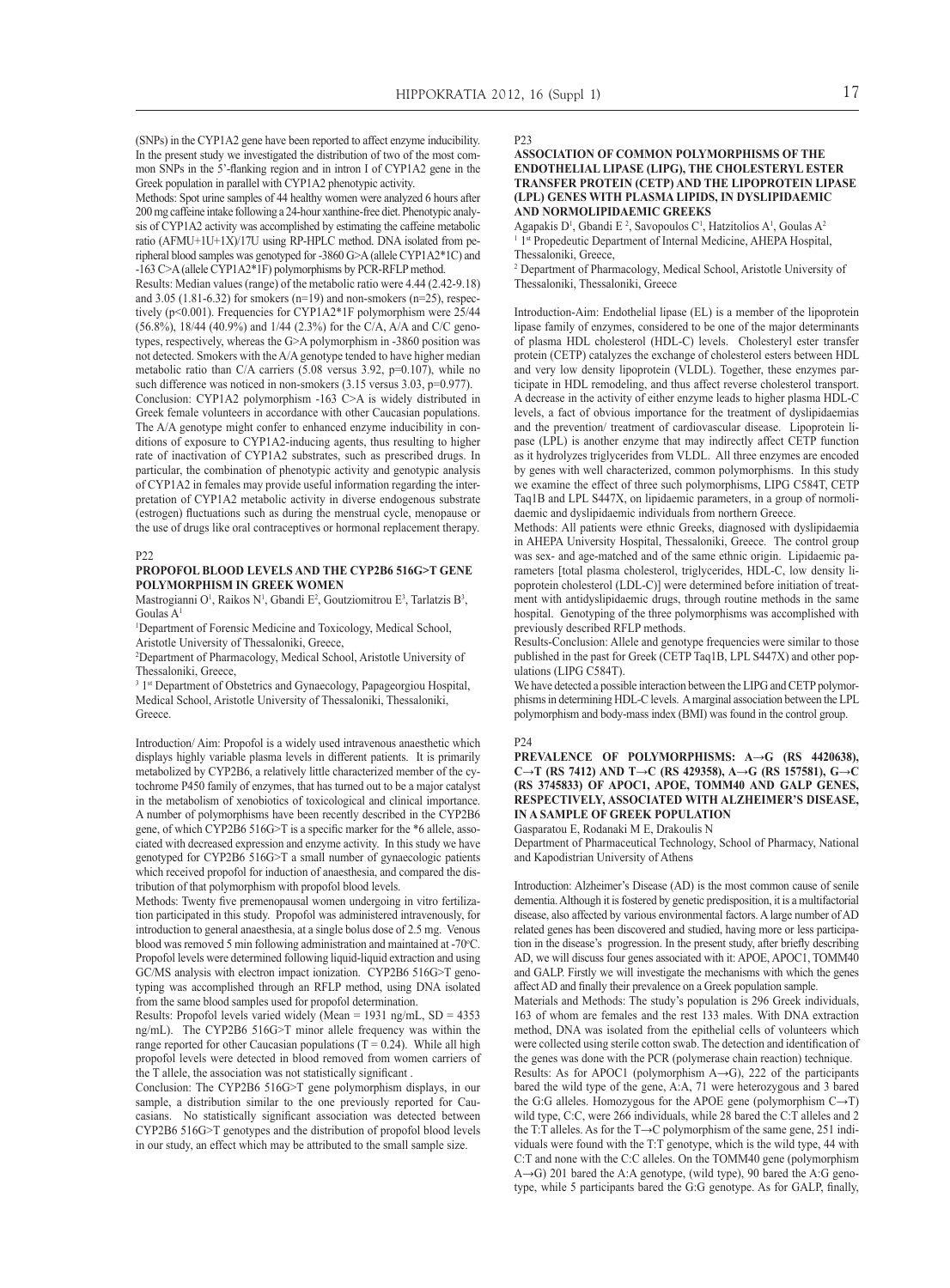(SNPs) in the CYP1A2 gene have been reported to affect enzyme inducibility. In the present study we investigated the distribution of two of the most common SNPs in the 5'-flanking region and in intron I of CYP1A2 gene in the Greek population in parallel with CYP1A2 phenotypic activity.

Methods: Spot urine samples of 44 healthy women were analyzed 6 hours after 200 mg caffeine intake following a 24-hour xanthine-free diet. Phenotypic analysis of CYP1A2 activity was accomplished by estimating the caffeine metabolic ratio (AFMU+1U+1X)/17U using RP-HPLC method. DNA isolated from peripheral blood samples was genotyped for -3860 G>A (allele CYP1A2\*1C) and -163 C>A (allele CYP1A2\*1F) polymorphisms by PCR-RFLP method.

Results: Median values (range) of the metabolic ratio were 4.44 (2.42-9.18) and  $3.05$  (1.81-6.32) for smokers (n=19) and non-smokers (n=25), respectively (p<0.001). Frequencies for CYP1A2\*1F polymorphism were 25/44 (56.8%), 18/44 (40.9%) and 1/44 (2.3%) for the C/A, A/A and C/C genotypes, respectively, whereas the G>A polymorphism in -3860 position was not detected. Smokers with the A/A genotype tended to have higher median metabolic ratio than C/A carriers  $(5.08 \text{ versus } 3.92, \text{ p}=0.107)$ , while no such difference was noticed in non-smokers  $(3.15 \text{ versus } 3.03, \text{ p=0.977}).$ Conclusion: CYP1A2 polymorphism -163 C>A is widely distributed in Greek female volunteers in accordance with other Caucasian populations.

The A/A genotype might confer to enhanced enzyme inducibility in conditions of exposure to CYP1A2-inducing agents, thus resulting to higher rate of inactivation of CYP1A2 substrates, such as prescribed drugs. In particular, the combination of phenotypic activity and genotypic analysis of CYP1A2 in females may provide useful information regarding the interpretation of CYP1A2 metabolic activity in diverse endogenous substrate (estrogen) fluctuations such as during the menstrual cycle, menopause or the use of drugs like oral contraceptives or hormonal replacement therapy.

#### p<sub>22</sub>

#### **Propofol blood levels and the CYP2B6 516G>T gene polymorphism in Greek women**

Mastrogianni O<sup>1</sup>, Raikos N<sup>1</sup>, Gbandi E<sup>2</sup>, Goutziomitrou E<sup>3</sup>, Tarlatzis B<sup>3</sup>, Goulas A1

<sup>1</sup>Department of Forensic Medicine and Toxicology, Medical School, Aristotle University of Thessaloniki, Greece,

2 Department of Pharmacology, Medical School, Aristotle University of Thessaloniki, Greece,

<sup>3</sup> 1<sup>st</sup> Department of Obstetrics and Gynaecology, Papageorgiou Hospital, Medical School, Aristotle University of Thessaloniki, Thessaloniki, Greece.

Introduction/ Aim: Propofol is a widely used intravenous anaesthetic which displays highly variable plasma levels in different patients. It is primarily metabolized by CYP2B6, a relatively little characterized member of the cytochrome P450 family of enzymes, that has turned out to be a major catalyst in the metabolism of xenobiotics of toxicological and clinical importance. A number of polymorphisms have been recently described in the CYP2B6 gene, of which CYP2B6 516G>T is a specific marker for the \*6 allele, associated with decreased expression and enzyme activity. In this study we have genotyped for CYP2B6 516G>T a small number of gynaecologic patients which received propofol for induction of anaesthesia, and compared the distribution of that polymorphism with propofol blood levels.

Methods: Twenty five premenopausal women undergoing in vitro fertilization participated in this study. Propofol was administered intravenously, for introduction to general anaesthesia, at a single bolus dose of 2.5 mg. Venous blood was removed 5 min following administration and maintained at -70°C. Propofol levels were determined following liquid-liquid extraction and using GC/MS analysis with electron impact ionization. CYP2B6 516G>T genotyping was accomplished through an RFLP method, using DNA isolated from the same blood samples used for propofol determination.

Results: Propofol levels varied widely (Mean = 1931 ng/mL, SD = 4353 ng/mL). The CYP2B6 516G>T minor allele frequency was within the range reported for other Caucasian populations  $(T = 0.24)$ . While all high propofol levels were detected in blood removed from women carriers of the T allele, the association was not statistically significant .

Conclusion: The CYP2B6 516G>T gene polymorphism displays, in our sample, a distribution similar to the one previously reported for Caucasians. No statistically significant association was detected between CYP2B6 516G>T genotypes and the distribution of propofol blood levels in our study, an effect which may be attributed to the small sample size.

P23

#### **Association of common polymorphisms of the endothelial lipase (LIPG), the cholesteryl ester transfer protein (CETP) and the lipoprotein lipase (LPL) genes with plasma lipids, in dyslipidaemic and normolipidaemic Greeks**

Agapakis D<sup>1</sup>, Gbandi E<sup>2</sup>, Savopoulos C<sup>1</sup>, Hatzitolios A<sup>1</sup>, Goulas A<sup>2</sup> <sup>1</sup> 1<sup>st</sup> Propedeutic Department of Internal Medicine, AHEPA Hospital, Thessaloniki, Greece,

2 Department of Pharmacology, Medical School, Aristotle University of Thessaloniki, Thessaloniki, Greece

Introduction-Aim: Endothelial lipase (EL) is a member of the lipoprotein lipase family of enzymes, considered to be one of the major determinants of plasma HDL cholesterol (HDL-C) levels. Cholesteryl ester transfer protein (CETP) catalyzes the exchange of cholesterol esters between HDL and very low density lipoprotein (VLDL). Together, these enzymes participate in HDL remodeling, and thus affect reverse cholesterol transport. A decrease in the activity of either enzyme leads to higher plasma HDL-C levels, a fact of obvious importance for the treatment of dyslipidaemias and the prevention/ treatment of cardiovascular disease. Lipoprotein lipase (LPL) is another enzyme that may indirectly affect CETP function as it hydrolyzes triglycerides from VLDL. All three enzymes are encoded by genes with well characterized, common polymorphisms. In this study we examine the effect of three such polymorphisms, LIPG C584T, CETP Taq1B and LPL S447X, on lipidaemic parameters, in a group of normolidaemic and dyslipidaemic individuals from northern Greece.

Methods: All patients were ethnic Greeks, diagnosed with dyslipidaemia in AHEPA University Hospital, Thessaloniki, Greece. The control group was sex- and age-matched and of the same ethnic origin. Lipidaemic parameters [total plasma cholesterol, triglycerides, HDL-C, low density lipoprotein cholesterol (LDL-C)] were determined before initiation of treatment with antidyslipidaemic drugs, through routine methods in the same hospital. Genotyping of the three polymorphisms was accomplished with previously described RFLP methods.

Results-Conclusion: Allele and genotype frequencies were similar to those published in the past for Greek (CETP Taq1B, LPL S447X) and other populations (LIPG C584T).

We have detected a possible interaction between the LIPG and CETP polymorphisms in determining HDL-C levels. A marginal association between the LPL polymorphism and body-mass index (BMI) was found in the control group.

#### P24

**Prevalence of polymorphisms: A→G (rs 4420638), C→T (rs 7412) and T→C (rs 429358), A→G (rs 157581), G→C (rs 3745833) of APOC1, APOE, TOMM40 and GALP genes, respectively, associated with Alzheimer's disease, in a sample of Greek population**

Gasparatou E, Rodanaki M E, Drakoulis N

Department of Pharmaceutical Technology, School of Pharmacy, National and Kapodistrian University of Athens

Introduction: Alzheimer's Disease (AD) is the most common cause of senile dementia. Although it is fostered by genetic predisposition, it is a multifactorial disease, also affected by various environmental factors. A large number of AD related genes has been discovered and studied, having more or less participation in the disease's progression. In the present study, after briefly describing AD, we will discuss four genes associated with it: APOE, APOC1, TOMM40 and GALP. Firstly we will investigate the mechanisms with which the genes affect AD and finally their prevalence on a Greek population sample.

Materials and Methods: The study's population is 296 Greek individuals, 163 of whom are females and the rest 133 males. With DNA extraction method, DNA was isolated from the epithelial cells of volunteers which were collected using sterile cotton swab. The detection and identification of the genes was done with the PCR (polymerase chain reaction) technique.

Results: As for APOC1 (polymorphism A→G), 222 of the participants bared the wild type of the gene, A:A, 71 were heterozygous and 3 bared the G:G alleles. Homozygous for the APOE gene (polymorphism  $C \rightarrow T$ ) wild type, C:C, were 266 individuals, while 28 bared the C:T alleles and 2 the Τ:Τ alleles. As for the Τ→C polymorphism of the same gene, 251 individuals were found with the Τ:Τ genotype, which is the wild type, 44 with C:T and none with the C:C alleles. On the TOMM40 gene (polymorphism A→G) 201 bared the A:A genotype, (wild type), 90 bared the A:G genotype, while 5 participants bared the G:G genotype. As for GALP, finally,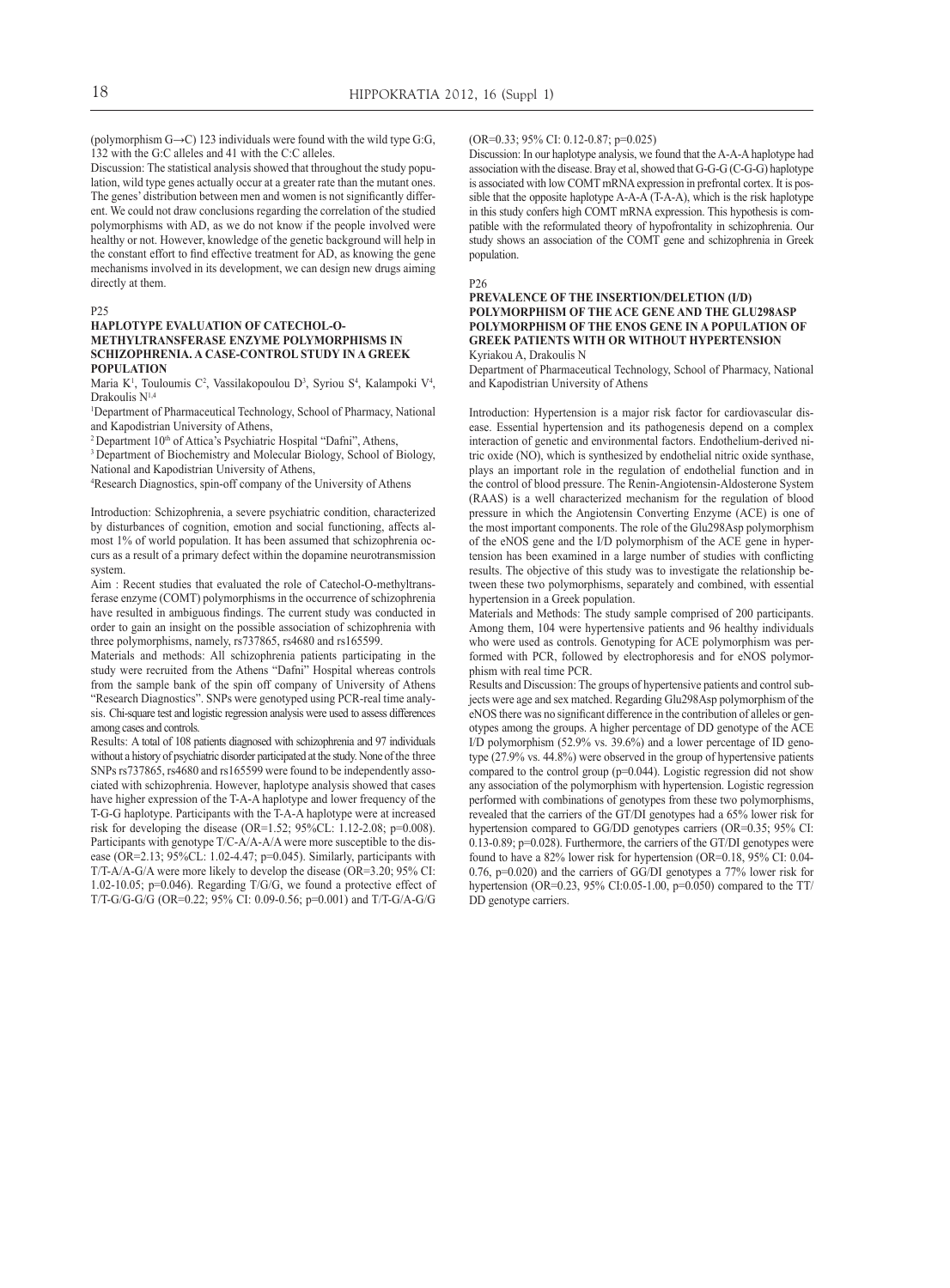(polymorphism  $G \rightarrow C$ ) 123 individuals were found with the wild type  $G:G$ , 132 with the G:C alleles and 41 with the C:C alleles.

Discussion: The statistical analysis showed that throughout the study population, wild type genes actually occur at a greater rate than the mutant ones. The genes' distribution between men and women is not significantly different. We could not draw conclusions regarding the correlation of the studied polymorphisms with AD, as we do not know if the people involved were healthy or not. However, knowledge of the genetic background will help in the constant effort to find effective treatment for AD, as knowing the gene mechanisms involved in its development, we can design new drugs aiming directly at them.

#### P25

#### **Haplotype evaluation of Catechol-omethyltransferase enzyme polymorphisms in schizophrenia. a case-control study in a Greek population**

Maria K<sup>1</sup>, Touloumis C<sup>2</sup>, Vassilakopoulou D<sup>3</sup>, Syriou S<sup>4</sup>, Kalampoki V<sup>4</sup>, Drakoulis N<sup>1,4</sup>

1 Department of Pharmaceutical Technology, School of Pharmacy, National and Kapodistrian University of Athens,<br><sup>2</sup> Department 10<sup>th</sup> of Attica's Psychiatric Hospital "Dafni", Athens,

<sup>3</sup> Department of Biochemistry and Molecular Biology, School of Biology, National and Kapodistrian University of Athens,

4 Research Diagnostics, spin-off company of the University of Athens

Introduction: Schizophrenia, a severe psychiatric condition, characterized by disturbances of cognition, emotion and social functioning, affects almost 1% of world population. It has been assumed that schizophrenia occurs as a result of a primary defect within the dopamine neurotransmission system.

Aim : Recent studies that evaluated the role of Catechol-O-methyltransferase enzyme (COMT) polymorphisms in the occurrence of schizophrenia have resulted in ambiguous findings. The current study was conducted in order to gain an insight on the possible association of schizophrenia with three polymorphisms, namely, rs737865, rs4680 and rs165599.

Materials and methods: All schizophrenia patients participating in the study were recruited from the Athens "Dafni" Hospital whereas controls from the sample bank of the spin off company of University of Athens "Research Diagnostics". SNPs were genotyped using PCR-real time analysis. Chi-square test and logistic regression analysis were used to assess differences among cases and controls.

Results: A total of 108 patients diagnosed with schizophrenia and 97 individuals without a history of psychiatric disorder participated at the study. None of the three SNPs rs737865, rs4680 and rs165599 were found to be independently associated with schizophrenia. However, haplotype analysis showed that cases have higher expression of the T-A-A haplotype and lower frequency of the T-G-G haplotype. Participants with the T-A-A haplotype were at increased risk for developing the disease (OR=1.52; 95%CL: 1.12-2.08; p=0.008). Participants with genotype T/C-A/A-A/A were more susceptible to the disease (OR=2.13; 95%CL: 1.02-4.47; p=0.045). Similarly, participants with T/T-A/A-G/A were more likely to develop the disease (OR=3.20; 95% CI: 1.02-10.05; p=0.046). Regarding T/G/G, we found a protective effect of T/T-G/G-G/G (OR=0.22; 95% CI: 0.09-0.56; p=0.001) and T/T-G/A-G/G

#### (OR=0.33; 95% CI: 0.12-0.87; p=0.025)

Discussion: In our haplotype analysis, we found that the A-A-A haplotype had association with the disease. Bray et al, showed that G-G-G (C-G-G) haplotype is associated with low COMT mRNA expression in prefrontal cortex. It is possible that the opposite haplotype A-A-A (T-A-A), which is the risk haplotype in this study confers high COMT mRNA expression. This hypothesis is compatible with the reformulated theory of hypofrontality in schizophrenia. Our study shows an association of the COMT gene and schizophrenia in Greek population.

#### P26

#### **Prevalence of the insertion/deletion (I/D) polymorphism of the ACE gene and the Glu298Asp polymorphism of the eNOS gene in a population of Greek patients with or without hypertension** Kyriakou A, Drakoulis N

Department of Pharmaceutical Technology, School of Pharmacy, National and Kapodistrian University of Athens

Introduction: Hypertension is a major risk factor for cardiovascular disease. Essential hypertension and its pathogenesis depend on a complex interaction of genetic and environmental factors. Endothelium-derived nitric oxide (NO), which is synthesized by endothelial nitric oxide synthase, plays an important role in the regulation of endothelial function and in the control of blood pressure. The Renin-Angiotensin-Aldosterone System (RAAS) is a well characterized mechanism for the regulation of blood pressure in which the Angiotensin Converting Enzyme (ACE) is one of the most important components. The role of the Glu298Asp polymorphism of the eNOS gene and the I/D polymorphism of the ACE gene in hypertension has been examined in a large number of studies with conflicting results. The objective of this study was to investigate the relationship between these two polymorphisms, separately and combined, with essential hypertension in a Greek population.

Materials and Methods: The study sample comprised of 200 participants. Among them, 104 were hypertensive patients and 96 healthy individuals who were used as controls. Genotyping for ACE polymorphism was performed with PCR, followed by electrophoresis and for eNOS polymorphism with real time PCR.

Results and Discussion: The groups of hypertensive patients and control subjects were age and sex matched. Regarding Glu298Asp polymorphism of the eNOS there was no significant difference in the contribution of alleles or genotypes among the groups. A higher percentage of DD genotype of the ACE I/D polymorphism (52.9% vs. 39.6%) and a lower percentage of ID genotype (27.9% vs. 44.8%) were observed in the group of hypertensive patients compared to the control group (p=0.044). Logistic regression did not show any association of the polymorphism with hypertension. Logistic regression performed with combinations of genotypes from these two polymorphisms, revealed that the carriers of the GT/DI genotypes had a 65% lower risk for hypertension compared to GG/DD genotypes carriers (OR=0.35; 95% CI: 0.13-0.89; p=0.028). Furthermore, the carriers of the GT/DI genotypes were found to have a 82% lower risk for hypertension (OR=0.18, 95% CI: 0.04- 0.76, p=0.020) and the carriers of GG/DI genotypes a 77% lower risk for hypertension (OR=0.23, 95% CI:0.05-1.00, p=0.050) compared to the TT/ DD genotype carriers.